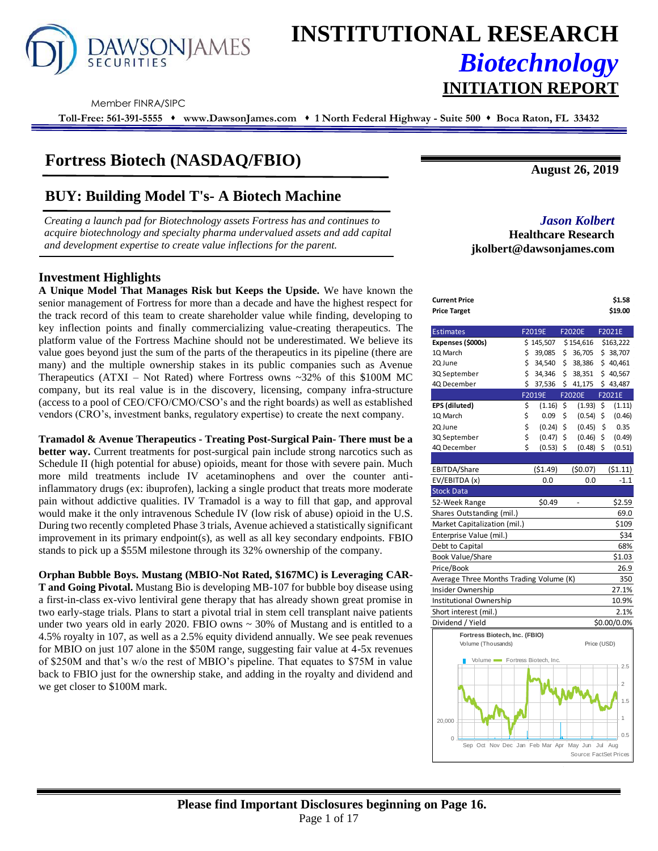

# **INSTITUTIONAL RESEARCH** *Biotechnology* **INITIATION REPORT**

Member FINRA/SIPC

**Toll-Free: 561-391-5555** ⬧ **www.DawsonJames.com** ⬧ **1 North Federal Highway - Suite 500** ⬧ **Boca Raton, FL 33432**

# **Fortress Biotech (NASDAQ/FBIO)**

# **BUY: Building Model T's- A Biotech Machine**

*Creating a launch pad for Biotechnology assets Fortress has and continues to acquire biotechnology and specialty pharma undervalued assets and add capital and development expertise to create value inflections for the parent.* 

### **Investment Highlights**

**A Unique Model That Manages Risk but Keeps the Upside.** We have known the senior management of Fortress for more than a decade and have the highest respect for the track record of this team to create shareholder value while finding, developing to key inflection points and finally commercializing value-creating therapeutics. The platform value of the Fortress Machine should not be underestimated. We believe its value goes beyond just the sum of the parts of the therapeutics in its pipeline (there are many) and the multiple ownership stakes in its public companies such as Avenue Therapeutics  $(ATXI - Not Rated)$  where Fortress owns ~32% of this \$100M MC company, but its real value is in the discovery, licensing, company infra-structure (access to a pool of CEO/CFO/CMO/CSO's and the right boards) as well as established vendors (CRO's, investment banks, regulatory expertise) to create the next company.

**Tramadol & Avenue Therapeutics - Treating Post-Surgical Pain- There must be a better way.** Current treatments for post-surgical pain include strong narcotics such as Schedule II (high potential for abuse) opioids, meant for those with severe pain. Much more mild treatments include IV acetaminophens and over the counter antiinflammatory drugs (ex: ibuprofen), lacking a single product that treats more moderate pain without addictive qualities. IV Tramadol is a way to fill that gap, and approval would make it the only intravenous Schedule IV (low risk of abuse) opioid in the U.S. During two recently completed Phase 3 trials, Avenue achieved a statistically significant improvement in its primary endpoint(s), as well as all key secondary endpoints. FBIO stands to pick up a \$55M milestone through its 32% ownership of the company.

**Orphan Bubble Boys. Mustang (MBIO-Not Rated, \$167MC) is Leveraging CAR-T and Going Pivotal.** Mustang Bio is developing MB-107 for bubble boy disease using a first-in-class ex-vivo lentiviral gene therapy that has already shown great promise in two early-stage trials. Plans to start a pivotal trial in stem cell transplant naive patients under two years old in early 2020. FBIO owns  $\sim$  30% of Mustang and is entitled to a 4.5% royalty in 107, as well as a 2.5% equity dividend annually. We see peak revenues for MBIO on just 107 alone in the \$50M range, suggesting fair value at 4-5x revenues of \$250M and that's w/o the rest of MBIO's pipeline. That equates to \$75M in value back to FBIO just for the ownership stake, and adding in the royalty and dividend and we get closer to \$100M mark.

**August 26, 2019**

## *Jason Kolbert*

**Healthcare Research jkolbert@dawsonjames.com**

| Current Price<br><b>Price Target</b>                |    |             |                        |     | \$1.58<br>\$19.00 |
|-----------------------------------------------------|----|-------------|------------------------|-----|-------------------|
| <b>Estimates</b>                                    |    | F2019E      | <b>F2020E</b>          |     | F2021E            |
| Expenses (\$000s)                                   |    | \$145,507   | \$154,616              |     | \$163,222         |
| 1Q March                                            | \$ | 39,085      | \$<br>36,705           |     | \$ 38,707         |
| 2Q June                                             | \$ | 34,540      | \$<br>38,386           |     | \$40,461          |
| 3Q September                                        | \$ | 34,346      | \$<br>38,351           |     | \$40,567          |
| 4Q December                                         | \$ | 37,536      | \$<br>41,175           |     | \$43,487          |
|                                                     |    | F2019E      | F2020E                 |     | F2021E            |
| EPS (diluted)                                       | \$ | (1.16)      | \$<br>(1.93)           | \$  | (1.11)            |
| 1Q March                                            | \$ | 0.09        | \$<br>(0.54)           | \$  | (0.46)            |
| 2Q June                                             | \$ | (0.24)      | \$<br>(0.45)           | \$  | 0.35              |
| 3Q September                                        | \$ | (0.47)      | \$<br>(0.46)           | \$  | (0.49)            |
| 4Q December                                         | Ś  | $(0.53)$ \$ | (0.48)                 | \$  | (0.51)            |
|                                                     |    |             |                        |     |                   |
| EBITDA/Share                                        |    | (51.49)     | (50.07)                |     | (51.11)           |
| EV/EBITDA (x)                                       |    | 0.0         | 0.0                    |     | $-1.1$            |
| <b>Stock Data</b>                                   |    |             |                        |     |                   |
| 52-Week Range                                       |    | \$0.49      | ÷,                     |     | \$2.59            |
| Shares Outstanding (mil.)                           |    |             |                        |     | 69.0              |
| Market Capitalization (mil.)                        |    |             |                        |     | \$109             |
| Enterprise Value (mil.)                             |    |             |                        |     | \$34              |
| Debt to Capital                                     |    |             |                        |     | 68%               |
| <b>Book Value/Share</b>                             |    |             |                        |     | \$1.03            |
| Price/Book                                          |    |             |                        |     | 26.9              |
| Average Three Months Trading Volume (K)             |    |             |                        |     | 350               |
| Insider Ownership                                   |    |             |                        |     | 27.1%             |
| Institutional Ownership                             |    |             |                        |     | 10.9%             |
| Short interest (mil.)                               |    |             |                        |     | 2.1%              |
| Dividend / Yield                                    |    |             |                        |     | \$0.00/0.0%       |
| Fortress Biotech, Inc. (FBIO)<br>Volume (Thousands) |    |             | Price (USD)            |     |                   |
| Volume Fortress Biotech, Inc.                       |    |             |                        |     | 2.5               |
|                                                     |    |             |                        |     |                   |
|                                                     |    |             |                        |     | $\overline{2}$    |
|                                                     |    |             |                        |     | 1.5               |
| 20,000                                              |    |             |                        |     | 1<br>0.5          |
| $\Omega$<br>Sep Oct Nov Dec Jan Feb Mar Apr May Jun |    |             | Source: FactSet Prices | Jul | Aug               |
|                                                     |    |             |                        |     |                   |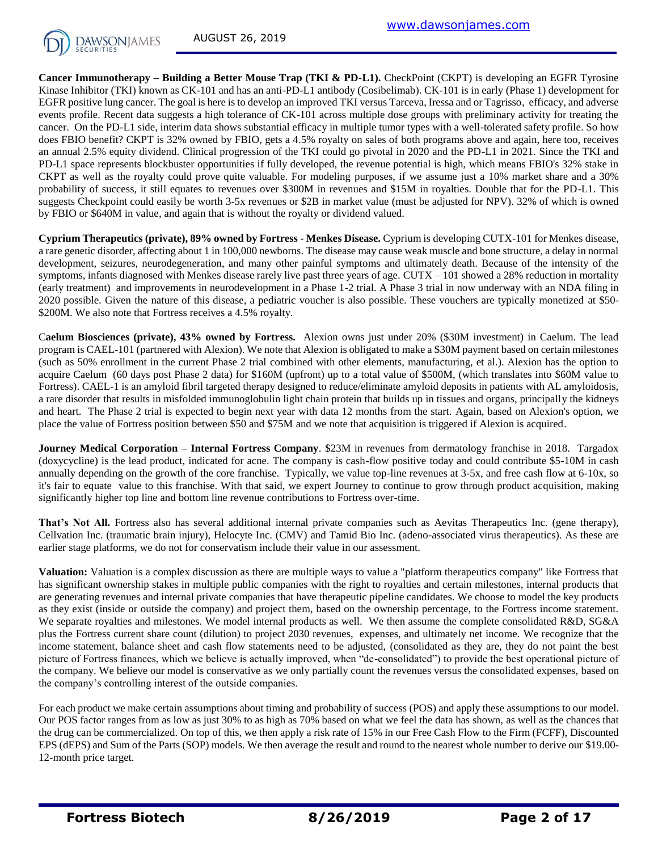

**Cancer Immunotherapy – Building a Better Mouse Trap (TKI & PD-L1).** CheckPoint (CKPT) is developing an EGFR Tyrosine Kinase Inhibitor (TKI) known as CK-101 and has an anti-PD-L1 antibody (Cosibelimab). CK-101 is in early (Phase 1) development for EGFR positive lung cancer. The goal is here is to develop an improved TKI versus Tarceva, Iressa and or Tagrisso, efficacy, and adverse events profile. Recent data suggests a high tolerance of CK-101 across multiple dose groups with preliminary activity for treating the cancer. On the PD-L1 side, interim data shows substantial efficacy in multiple tumor types with a well-tolerated safety profile. So how does FBIO benefit? CKPT is 32% owned by FBIO, gets a 4.5% royalty on sales of both programs above and again, here too, receives an annual 2.5% equity dividend. Clinical progression of the TKI could go pivotal in 2020 and the PD-L1 in 2021. Since the TKI and PD-L1 space represents blockbuster opportunities if fully developed, the revenue potential is high, which means FBIO's 32% stake in CKPT as well as the royalty could prove quite valuable. For modeling purposes, if we assume just a 10% market share and a 30% probability of success, it still equates to revenues over \$300M in revenues and \$15M in royalties. Double that for the PD-L1. This suggests Checkpoint could easily be worth 3-5x revenues or \$2B in market value (must be adjusted for NPV). 32% of which is owned by FBIO or \$640M in value, and again that is without the royalty or dividend valued.

**Cyprium Therapeutics (private), 89% owned by Fortress - Menkes Disease.** Cyprium is developing CUTX-101 for Menkes disease, a rare genetic disorder, affecting about 1 in 100,000 newborns. The disease may cause weak muscle and bone structure, a delay in normal development, seizures, neurodegeneration, and many other painful symptoms and ultimately death. Because of the intensity of the symptoms, infants diagnosed with Menkes disease rarely live past three years of age.  $CUTX - 101$  showed a 28% reduction in mortality (early treatment) and improvements in neurodevelopment in a Phase 1-2 trial. A Phase 3 trial in now underway with an NDA filing in 2020 possible. Given the nature of this disease, a pediatric voucher is also possible. These vouchers are typically monetized at \$50- \$200M. We also note that Fortress receives a 4.5% royalty.

C**aelum Biosciences (private), 43% owned by Fortress.** Alexion owns just under 20% (\$30M investment) in Caelum. The lead program is CAEL-101 (partnered with Alexion). We note that Alexion is obligated to make a \$30M payment based on certain milestones (such as 50% enrollment in the current Phase 2 trial combined with other elements, manufacturing, et al.). Alexion has the option to acquire Caelum (60 days post Phase 2 data) for \$160M (upfront) up to a total value of \$500M, (which translates into \$60M value to Fortress). CAEL-1 is an amyloid fibril targeted therapy designed to reduce/eliminate amyloid deposits in patients with AL amyloidosis, a rare disorder that results in misfolded immunoglobulin light chain protein that builds up in tissues and organs, principally the kidneys and heart. The Phase 2 trial is expected to begin next year with data 12 months from the start. Again, based on Alexion's option, we place the value of Fortress position between \$50 and \$75M and we note that acquisition is triggered if Alexion is acquired.

**Journey Medical Corporation – Internal Fortress Company**. \$23M in revenues from dermatology franchise in 2018. Targadox (doxycycline) is the lead product, indicated for acne. The company is cash-flow positive today and could contribute \$5-10M in cash annually depending on the growth of the core franchise. Typically, we value top-line revenues at 3-5x, and free cash flow at 6-10x, so it's fair to equate value to this franchise. With that said, we expert Journey to continue to grow through product acquisition, making significantly higher top line and bottom line revenue contributions to Fortress over-time.

**That's Not All.** Fortress also has several additional internal private companies such as Aevitas Therapeutics Inc. (gene therapy), Cellvation Inc. (traumatic brain injury), Helocyte Inc. (CMV) and Tamid Bio Inc. (adeno-associated virus therapeutics). As these are earlier stage platforms, we do not for conservatism include their value in our assessment.

**Valuation:** Valuation is a complex discussion as there are multiple ways to value a "platform therapeutics company" like Fortress that has significant ownership stakes in multiple public companies with the right to royalties and certain milestones, internal products that are generating revenues and internal private companies that have therapeutic pipeline candidates. We choose to model the key products as they exist (inside or outside the company) and project them, based on the ownership percentage, to the Fortress income statement. We separate royalties and milestones. We model internal products as well. We then assume the complete consolidated R&D, SG&A plus the Fortress current share count (dilution) to project 2030 revenues, expenses, and ultimately net income. We recognize that the income statement, balance sheet and cash flow statements need to be adjusted, (consolidated as they are, they do not paint the best picture of Fortress finances, which we believe is actually improved, when "de-consolidated") to provide the best operational picture of the company. We believe our model is conservative as we only partially count the revenues versus the consolidated expenses, based on the company's controlling interest of the outside companies.

For each product we make certain assumptions about timing and probability of success (POS) and apply these assumptions to our model. Our POS factor ranges from as low as just 30% to as high as 70% based on what we feel the data has shown, as well as the chances that the drug can be commercialized. On top of this, we then apply a risk rate of 15% in our Free Cash Flow to the Firm (FCFF), Discounted EPS (dEPS) and Sum of the Parts (SOP) models. We then average the result and round to the nearest whole number to derive our \$19.00- 12-month price target.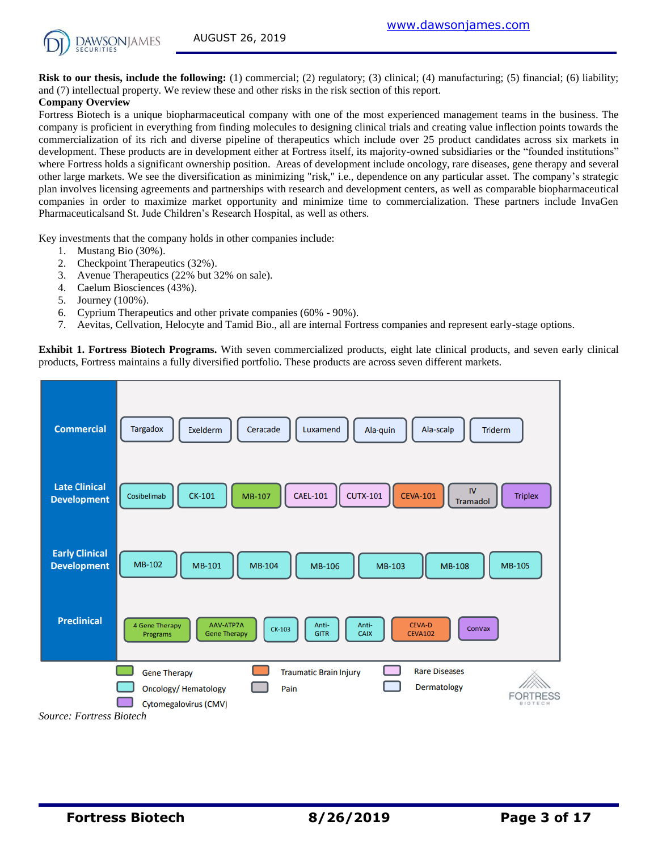

**Risk to our thesis, include the following:** (1) commercial; (2) regulatory; (3) clinical; (4) manufacturing; (5) financial; (6) liability; and (7) intellectual property. We review these and other risks in the risk section of this report.

#### **Company Overview**

Fortress Biotech is a unique biopharmaceutical company with one of the most experienced management teams in the business. The company is proficient in everything from finding molecules to designing clinical trials and creating value inflection points towards the commercialization of its rich and diverse pipeline of therapeutics which include over 25 product candidates across six markets in development. These products are in development either at Fortress itself, its majority-owned subsidiaries or the "founded institutions" where Fortress holds a significant ownership position. Areas of development include oncology, rare diseases, gene therapy and several other large markets. We see the diversification as minimizing "risk," i.e., dependence on any particular asset. The company's strategic plan involves licensing agreements and partnerships with research and development centers, as well as comparable biopharmaceutical companies in order to maximize market opportunity and minimize time to commercialization. These partners include InvaGen Pharmaceuticalsand St. Jude Children's Research Hospital, as well as others.

Key investments that the company holds in other companies include:

- 1. Mustang Bio (30%).
- 2. Checkpoint Therapeutics (32%).
- 3. Avenue Therapeutics (22% but 32% on sale).
- 4. Caelum Biosciences (43%).
- 5. Journey (100%).
- 6. Cyprium Therapeutics and other private companies (60% 90%).
- 7. Aevitas, Cellvation, Helocyte and Tamid Bio., all are internal Fortress companies and represent early-stage options.

**Exhibit 1. Fortress Biotech Programs.** With seven commercialized products, eight late clinical products, and seven early clinical products, Fortress maintains a fully diversified portfolio. These products are across seven different markets.

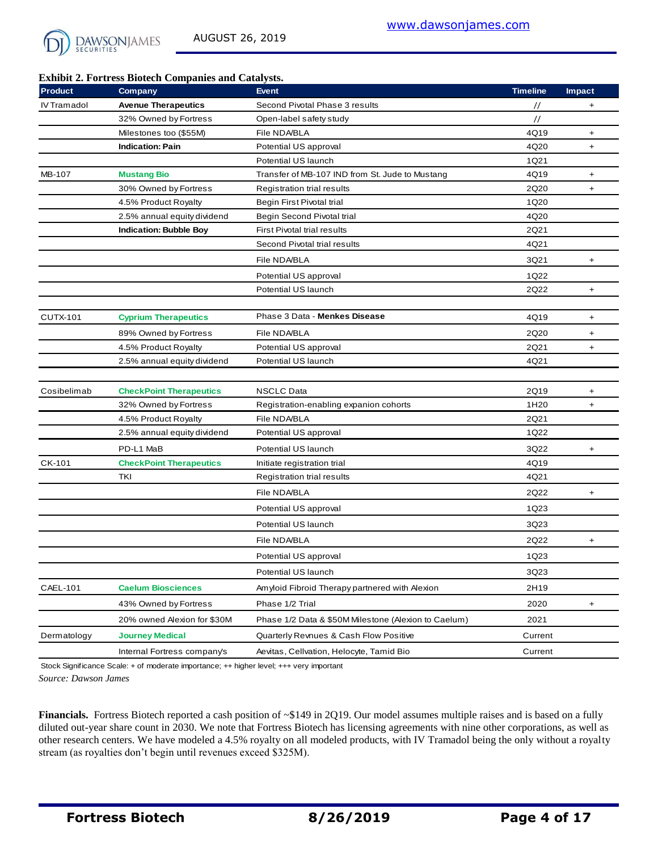

#### **Exhibit 2. Fortress Biotech Companies and Catalysts.**

| <b>Product</b>  | Company                        | <b>Event</b>                                         | <b>Timeline</b>  | <b>Impact</b> |
|-----------------|--------------------------------|------------------------------------------------------|------------------|---------------|
| IV Tramadol     | <b>Avenue Therapeutics</b>     | Second Pivotal Phase 3 results                       | $\prime\prime$   | +             |
|                 | 32% Owned by Fortress          | Open-label safety study                              | $\frac{1}{2}$    |               |
|                 | Milestones too (\$55M)         | File NDA/BLA                                         | 4Q19             | $\ddot{}$     |
|                 | <b>Indication: Pain</b>        | Potential US approval                                | 4Q20             | $\ddot{}$     |
|                 |                                | Potential US launch                                  | 1Q21             |               |
| MB-107          | <b>Mustang Bio</b>             | Transfer of MB-107 IND from St. Jude to Mustang      | 4Q19             | $\ddot{}$     |
|                 | 30% Owned by Fortress          | Registration trial results                           | 2Q20             | +             |
|                 | 4.5% Product Royalty           | Begin First Pivotal trial                            | 1Q20             |               |
|                 | 2.5% annual equity dividend    | Begin Second Pivotal trial                           | 4Q20             |               |
|                 | <b>Indication: Bubble Boy</b>  | <b>First Pivotal trial results</b>                   | 2Q21             |               |
|                 |                                | Second Pivotal trial results                         | 4Q21             |               |
|                 |                                | File NDA/BLA                                         | 3Q21             | +             |
|                 |                                | Potential US approval                                | 1Q22             |               |
|                 |                                | Potential US launch                                  | 2Q22             | $\ddot{}$     |
|                 |                                |                                                      |                  |               |
| <b>CUTX-101</b> | <b>Cyprium Therapeutics</b>    | Phase 3 Data - Menkes Disease                        | 4Q19             | $\ddot{}$     |
|                 | 89% Owned by Fortress          | File NDA/BLA                                         | 2Q20             | +             |
|                 | 4.5% Product Royalty           | Potential US approval                                | 2Q21             | $\ddot{}$     |
|                 | 2.5% annual equity dividend    | Potential US launch                                  | 4Q21             |               |
|                 |                                |                                                      |                  |               |
| Cosibelimab     | <b>CheckPoint Therapeutics</b> | <b>NSCLC Data</b>                                    | 2Q19             | +             |
|                 | 32% Owned by Fortress          | Registration-enabling expanion cohorts               | 1H <sub>20</sub> | $\ddot{}$     |
|                 | 4.5% Product Royalty           | File NDA/BLA                                         | 2Q21             |               |
|                 | 2.5% annual equity dividend    | Potential US approval                                | 1Q22             |               |
|                 | PD-L1 MaB                      | Potential US launch                                  | 3Q22             | +             |
| CK-101          | <b>CheckPoint Therapeutics</b> | Initiate registration trial                          | 4Q19             |               |
|                 | TKI                            | Registration trial results                           | 4Q21             |               |
|                 |                                | File NDA/BLA                                         | 2Q22             | +             |
|                 |                                | Potential US approval                                | 1Q23             |               |
|                 |                                | Potential US launch                                  | 3Q23             |               |
|                 |                                | File NDA/BLA                                         | 2Q22             | $\ddot{}$     |
|                 |                                | Potential US approval                                | 1Q23             |               |
|                 |                                |                                                      |                  |               |
|                 |                                | Potential US launch                                  | 3Q23             |               |
| CAEL-101        | <b>Caelum Biosciences</b>      | Amyloid Fibroid Therapy partnered with Alexion       | 2H19             |               |
|                 | 43% Owned by Fortress          | Phase 1/2 Trial                                      | 2020             | +             |
|                 | 20% owned Alexion for \$30M    | Phase 1/2 Data & \$50M Milestone (Alexion to Caelum) | 2021             |               |
| Dermatology     | <b>Journey Medical</b>         | Quarterly Revnues & Cash Flow Positive               | Current          |               |
|                 | Internal Fortress company's    | Aevitas, Cellvation, Helocyte, Tamid Bio             | Current          |               |

*Source: Dawson James* Stock Significance Scale: + of moderate importance; ++ higher level; +++ very important

**Financials.** Fortress Biotech reported a cash position of ~\$149 in 2Q19. Our model assumes multiple raises and is based on a fully diluted out-year share count in 2030. We note that Fortress Biotech has licensing agreements with nine other corporations, as well as other research centers. We have modeled a 4.5% royalty on all modeled products, with IV Tramadol being the only without a royalty stream (as royalties don't begin until revenues exceed \$325M).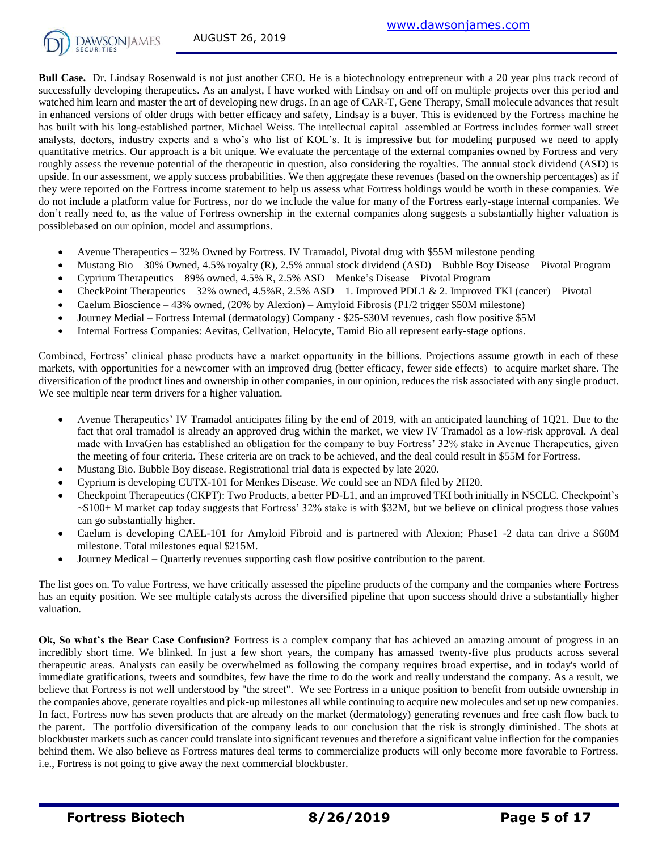

**Bull Case.** Dr. Lindsay Rosenwald is not just another CEO. He is a biotechnology entrepreneur with a 20 year plus track record of successfully developing therapeutics. As an analyst, I have worked with Lindsay on and off on multiple projects over this period and watched him learn and master the art of developing new drugs. In an age of CAR-T, Gene Therapy, Small molecule advances that result in enhanced versions of older drugs with better efficacy and safety, Lindsay is a buyer. This is evidenced by the Fortress machine he has built with his long-established partner, Michael Weiss. The intellectual capital assembled at Fortress includes former wall street analysts, doctors, industry experts and a who's who list of KOL's. It is impressive but for modeling purposed we need to apply quantitative metrics. Our approach is a bit unique. We evaluate the percentage of the external companies owned by Fortress and very roughly assess the revenue potential of the therapeutic in question, also considering the royalties. The annual stock dividend (ASD) is upside. In our assessment, we apply success probabilities. We then aggregate these revenues (based on the ownership percentages) as if they were reported on the Fortress income statement to help us assess what Fortress holdings would be worth in these companies. We do not include a platform value for Fortress, nor do we include the value for many of the Fortress early-stage internal companies. We don't really need to, as the value of Fortress ownership in the external companies along suggests a substantially higher valuation is possiblebased on our opinion, model and assumptions.

- Avenue Therapeutics 32% Owned by Fortress. IV Tramadol, Pivotal drug with \$55M milestone pending
- Mustang Bio 30% Owned, 4.5% royalty (R), 2.5% annual stock dividend (ASD) Bubble Boy Disease Pivotal Program
- Cyprium Therapeutics 89% owned, 4.5% R, 2.5% ASD Menke's Disease Pivotal Program
- CheckPoint Therapeutics 32% owned,  $4.5\%R$ ,  $2.5\%$  ASD 1. Improved PDL1 & 2. Improved TKI (cancer) Pivotal
- Caelum Bioscience 43% owned, (20% by Alexion) Amyloid Fibrosis (P1/2 trigger \$50M milestone)
- Journey Medial Fortress Internal (dermatology) Company \$25-\$30M revenues, cash flow positive \$5M
- Internal Fortress Companies: Aevitas, Cellvation, Helocyte, Tamid Bio all represent early-stage options.

Combined, Fortress' clinical phase products have a market opportunity in the billions. Projections assume growth in each of these markets, with opportunities for a newcomer with an improved drug (better efficacy, fewer side effects) to acquire market share. The diversification of the product lines and ownership in other companies, in our opinion, reduces the risk associated with any single product. We see multiple near term drivers for a higher valuation.

- Avenue Therapeutics' IV Tramadol anticipates filing by the end of 2019, with an anticipated launching of 1Q21. Due to the fact that oral tramadol is already an approved drug within the market, we view IV Tramadol as a low-risk approval. A deal made with InvaGen has established an obligation for the company to buy Fortress' 32% stake in Avenue Therapeutics, given the meeting of four criteria. These criteria are on track to be achieved, and the deal could result in \$55M for Fortress.
- Mustang Bio. Bubble Boy disease. Registrational trial data is expected by late 2020.
- Cyprium is developing CUTX-101 for Menkes Disease. We could see an NDA filed by 2H20.
- Checkpoint Therapeutics (CKPT): Two Products, a better PD-L1, and an improved TKI both initially in NSCLC. Checkpoint's ~\$100+ M market cap today suggests that Fortress' 32% stake is with \$32M, but we believe on clinical progress those values can go substantially higher.
- Caelum is developing CAEL-101 for Amyloid Fibroid and is partnered with Alexion; Phase1 -2 data can drive a \$60M milestone. Total milestones equal \$215M.
- Journey Medical Quarterly revenues supporting cash flow positive contribution to the parent.

The list goes on. To value Fortress, we have critically assessed the pipeline products of the company and the companies where Fortress has an equity position. We see multiple catalysts across the diversified pipeline that upon success should drive a substantially higher valuation.

**Ok, So what's the Bear Case Confusion?** Fortress is a complex company that has achieved an amazing amount of progress in an incredibly short time. We blinked. In just a few short years, the company has amassed twenty-five plus products across several therapeutic areas. Analysts can easily be overwhelmed as following the company requires broad expertise, and in today's world of immediate gratifications, tweets and soundbites, few have the time to do the work and really understand the company. As a result, we believe that Fortress is not well understood by "the street". We see Fortress in a unique position to benefit from outside ownership in the companies above, generate royalties and pick-up milestones all while continuing to acquire new molecules and set up new companies. In fact, Fortress now has seven products that are already on the market (dermatology) generating revenues and free cash flow back to the parent. The portfolio diversification of the company leads to our conclusion that the risk is strongly diminished. The shots at blockbuster markets such as cancer could translate into significant revenues and therefore a significant value inflection for the companies behind them. We also believe as Fortress matures deal terms to commercialize products will only become more favorable to Fortress. i.e., Fortress is not going to give away the next commercial blockbuster.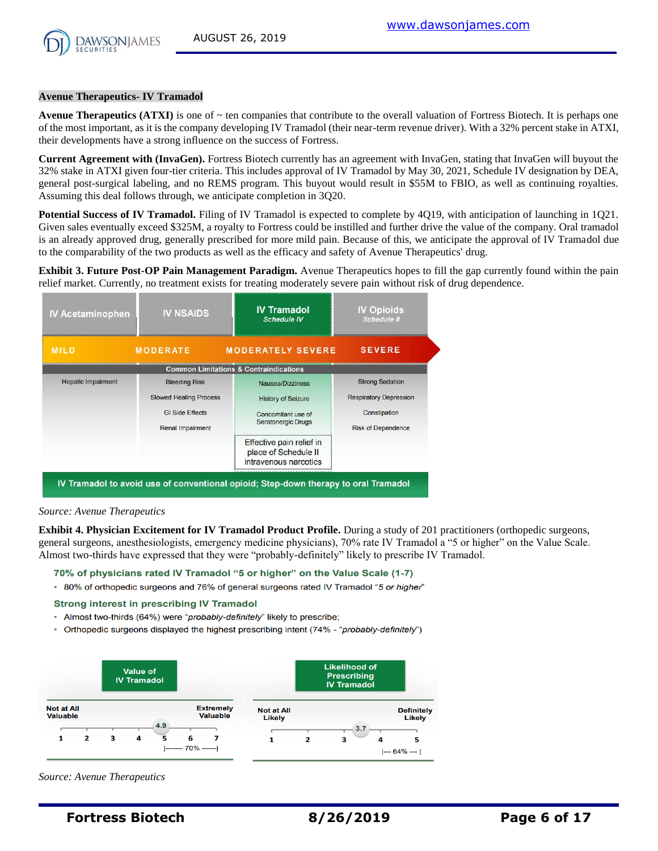

#### **Avenue Therapeutics- IV Tramadol**

**Avenue Therapeutics (ATXI)** is one of  $\sim$  ten companies that contribute to the overall valuation of Fortress Biotech. It is perhaps one of the most important, as it is the company developing IV Tramadol (their near-term revenue driver). With a 32% percent stake in ATXI, their developments have a strong influence on the success of Fortress.

**Current Agreement with (InvaGen).** Fortress Biotech currently has an agreement with InvaGen, stating that InvaGen will buyout the 32% stake in ATXI given four-tier criteria. This includes approval of IV Tramadol by May 30, 2021, Schedule IV designation by DEA, general post-surgical labeling, and no REMS program. This buyout would result in \$55M to FBIO, as well as continuing royalties. Assuming this deal follows through, we anticipate completion in 3Q20.

**Potential Success of IV Tramadol.** Filing of IV Tramadol is expected to complete by 4Q19, with anticipation of launching in 1Q21. Given sales eventually exceed \$325M, a royalty to Fortress could be instilled and further drive the value of the company. Oral tramadol is an already approved drug, generally prescribed for more mild pain. Because of this, we anticipate the approval of IV Tramadol due to the comparability of the two products as well as the efficacy and safety of Avenue Therapeutics' drug.

**Exhibit 3. Future Post-OP Pain Management Paradigm.** Avenue Therapeutics hopes to fill the gap currently found within the pain relief market. Currently, no treatment exists for treating moderately severe pain without risk of drug dependence.

| <b>IV Acetaminophen</b>   | <b>IV NSAIDS</b>              | <b>IV Tramadol</b><br><b>Schedule IV</b>          | <b>IV Opioids</b><br><b>Schedule II</b> |  |  |
|---------------------------|-------------------------------|---------------------------------------------------|-----------------------------------------|--|--|
| <b>MILD</b>               | <b>MODERATE</b>               | <b>MODERATELY SEVERE</b>                          | <b>SEVERE</b>                           |  |  |
|                           |                               | <b>Common Limitations &amp; Contraindications</b> |                                         |  |  |
| <b>Hepatic Impairment</b> | <b>Bleeding Risk</b>          | Nausea/Dizziness                                  | <b>Strong Sedation</b>                  |  |  |
|                           | <b>Slowed Healing Process</b> | <b>History of Seizure</b>                         | <b>Respiratory Depression</b>           |  |  |
|                           | <b>GI Side Effects</b>        | Concomitant use of                                | Constipation                            |  |  |
|                           | Renal Impairment              | Serotonergic Drugs                                | <b>Risk of Dependence</b>               |  |  |
|                           |                               | Effective pain relief in                          |                                         |  |  |
|                           |                               | place of Schedule II<br>intravenous narcotics     |                                         |  |  |

#### *Source: Avenue Therapeutics*

**Exhibit 4. Physician Excitement for IV Tramadol Product Profile.** During a study of 201 practitioners (orthopedic surgeons, general surgeons, anesthesiologists, emergency medicine physicians), 70% rate IV Tramadol a "5 or higher" on the Value Scale. Almost two-thirds have expressed that they were "probably-definitely" likely to prescribe IV Tramadol.

#### 70% of physicians rated IV Tramadol "5 or higher" on the Value Scale (1-7)

\* 80% of orthopedic surgeons and 76% of general surgeons rated IV Tramadol "5 or higher"

#### **Strong interest in prescribing IV Tramadol**

- \* Almost two-thirds (64%) were "probably-definitely" likely to prescribe;
- Orthopedic surgeons displayed the highest prescribing intent (74% "probably-definitely")



*Source: Avenue Therapeutics*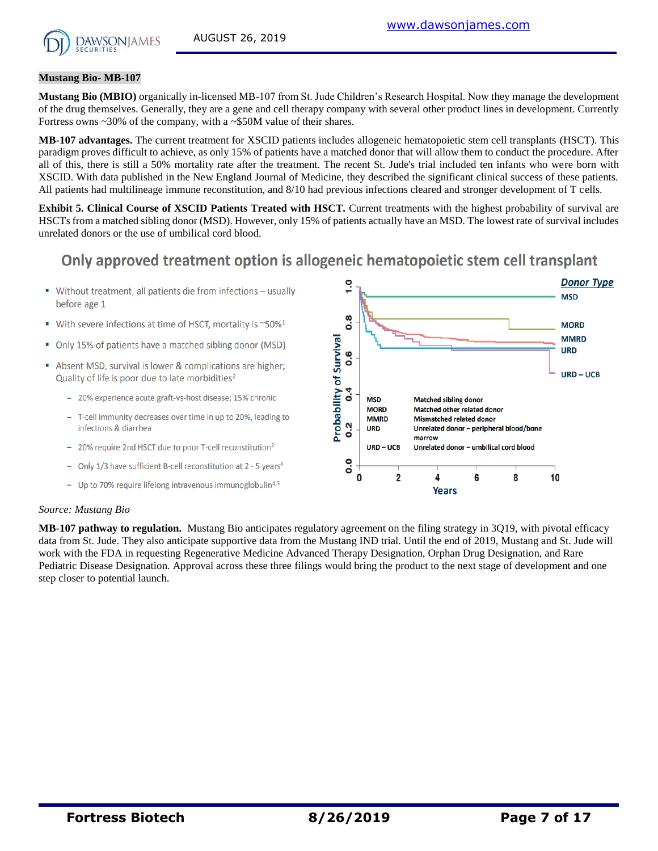

#### **Mustang Bio- MB-107**

**Mustang Bio (MBIO)** organically in-licensed MB-107 from St. Jude Children's Research Hospital. Now they manage the development of the drug themselves. Generally, they are a gene and cell therapy company with several other product lines in development. Currently Fortress owns ~30% of the company, with a ~\$50M value of their shares.

**MB-107 advantages.** The current treatment for XSCID patients includes allogeneic hematopoietic stem cell transplants (HSCT). This paradigm proves difficult to achieve, as only 15% of patients have a matched donor that will allow them to conduct the procedure. After all of this, there is still a 50% mortality rate after the treatment. The recent St. Jude's trial included ten infants who were born with XSCID. With data published in the New England Journal of Medicine, they described the significant clinical success of these patients. All patients had multilineage immune reconstitution, and 8/10 had previous infections cleared and stronger development of T cells.

**Exhibit 5. Clinical Course of XSCID Patients Treated with HSCT.** Current treatments with the highest probability of survival are HSCTs from a matched sibling donor (MSD). However, only 15% of patients actually have an MSD. The lowest rate of survival includes unrelated donors or the use of umbilical cord blood.

# Only approved treatment option is allogeneic hematopoietic stem cell transplant

- Without treatment, all patients die from infections usually before age 1
- With severe infections at time of HSCT, mortality is ~50%<sup>1</sup>
- Only 15% of patients have a matched sibling donor (MSD)
- Absent MSD, survival is lower & complications are higher; Quality of life is poor due to late morbidities<sup>2</sup>
	- 20% experience acute graft-vs-host disease; 15% chronic
	- T-cell immunity decreases over time in up to 20%, leading to infections & diarrhea
	- 20% require 2nd HSCT due to poor T-cell reconstitution<sup>3</sup>
	- Only 1/3 have sufficient B-cell reconstitution at 2 5 years<sup>4</sup>
	- Up to 70% require lifelong intravenous immunoglobulin<sup>4,5</sup>



#### *Source: Mustang Bio*

**MB-107 pathway to regulation.** Mustang Bio anticipates regulatory agreement on the filing strategy in 3Q19, with pivotal efficacy data from St. Jude. They also anticipate supportive data from the Mustang IND trial. Until the end of 2019, Mustang and St. Jude will work with the FDA in requesting Regenerative Medicine Advanced Therapy Designation, Orphan Drug Designation, and Rare Pediatric Disease Designation. Approval across these three filings would bring the product to the next stage of development and one step closer to potential launch.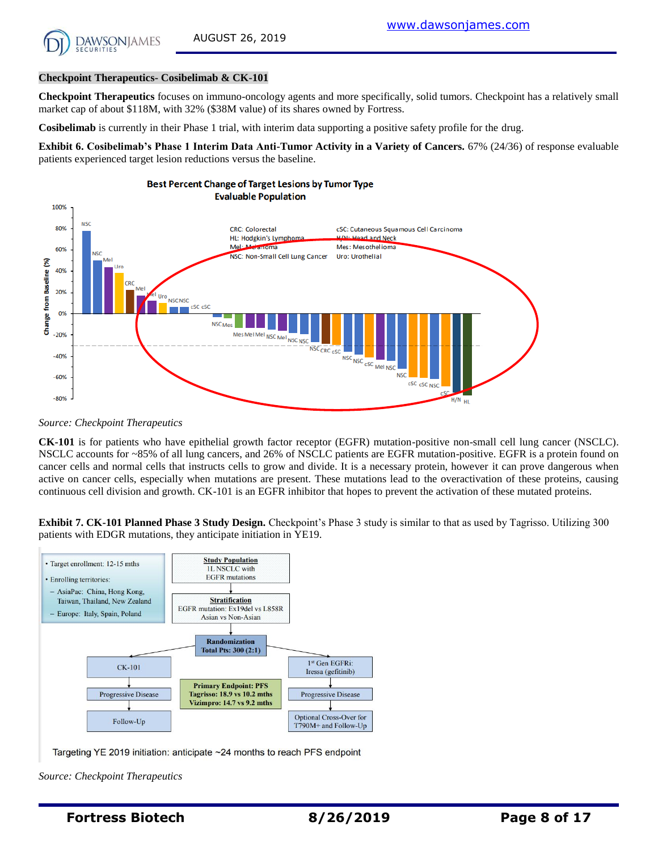

#### **Checkpoint Therapeutics- Cosibelimab & CK-101**

**Checkpoint Therapeutics** focuses on immuno-oncology agents and more specifically, solid tumors. Checkpoint has a relatively small market cap of about \$118M, with 32% (\$38M value) of its shares owned by Fortress.

**Cosibelimab** is currently in their Phase 1 trial, with interim data supporting a positive safety profile for the drug.

**Exhibit 6. Cosibelimab's Phase 1 Interim Data Anti-Tumor Activity in a Variety of Cancers.** 67% (24/36) of response evaluable patients experienced target lesion reductions versus the baseline.



*Source: Checkpoint Therapeutics*

**CK-101** is for patients who have epithelial growth factor receptor (EGFR) mutation-positive non-small cell lung cancer (NSCLC). NSCLC accounts for ~85% of all lung cancers, and 26% of NSCLC patients are EGFR mutation-positive. EGFR is a protein found on cancer cells and normal cells that instructs cells to grow and divide. It is a necessary protein, however it can prove dangerous when active on cancer cells, especially when mutations are present. These mutations lead to the overactivation of these proteins, causing continuous cell division and growth. CK-101 is an EGFR inhibitor that hopes to prevent the activation of these mutated proteins.

**Exhibit 7. CK-101 Planned Phase 3 Study Design.** Checkpoint's Phase 3 study is similar to that as used by Tagrisso. Utilizing 300 patients with EDGR mutations, they anticipate initiation in YE19.



Targeting YE 2019 initiation: anticipate ~24 months to reach PFS endpoint

*Source: Checkpoint Therapeutics*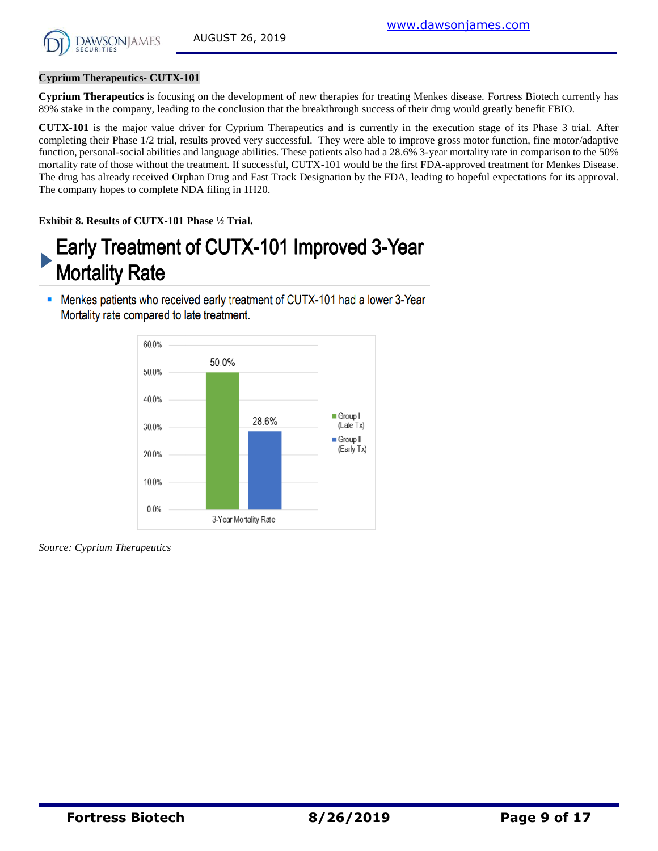#### **Cyprium Therapeutics- CUTX-101**

**Cyprium Therapeutics** is focusing on the development of new therapies for treating Menkes disease. Fortress Biotech currently has 89% stake in the company, leading to the conclusion that the breakthrough success of their drug would greatly benefit FBIO.

**CUTX-101** is the major value driver for Cyprium Therapeutics and is currently in the execution stage of its Phase 3 trial. After completing their Phase 1/2 trial, results proved very successful. They were able to improve gross motor function, fine motor/adaptive function, personal-social abilities and language abilities. These patients also had a 28.6% 3-year mortality rate in comparison to the 50% mortality rate of those without the treatment. If successful, CUTX-101 would be the first FDA-approved treatment for Menkes Disease. The drug has already received Orphan Drug and Fast Track Designation by the FDA, leading to hopeful expectations for its approval. The company hopes to complete NDA filing in 1H20.

**Exhibit 8. Results of CUTX-101 Phase ½ Trial.**

# Early Treatment of CUTX-101 Improved 3-Year **Mortality Rate**

• Menkes patients who received early treatment of CUTX-101 had a lower 3-Year Mortality rate compared to late treatment.



*Source: Cyprium Therapeutics*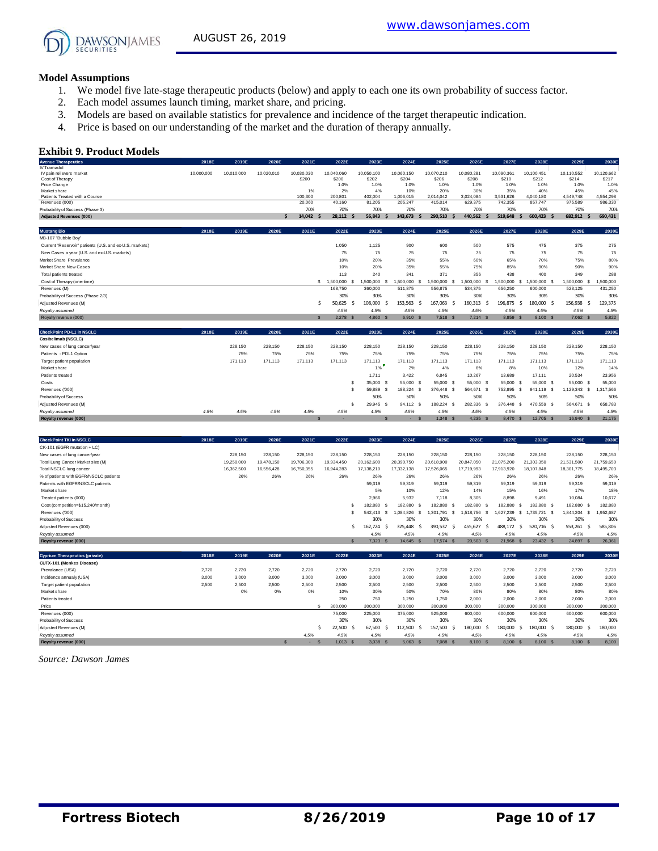

#### **Model Assumptions**

- 1. We model five late-stage therapeutic products (below) and apply to each one its own probability of success factor.
- 2. Each model assumes launch timing, market share, and pricing.
- 3. Models are based on available statistics for prevalence and incidence of the target therapeutic indication.
- 4. Price is based on our understanding of the market and the duration of therapy annually.

#### **Exhibit 9. Product Models**

| 10,000,000<br>10,010,000<br>10,020,010<br>10,030,030<br>10,040,060<br>10,050,100<br>10,060,150<br>10,070,210<br>10,080,281<br>10,090,361<br>10,100,451<br>10,110,552<br>10,120,662<br>IV pain relievers market<br>Cost of Therapy<br>\$200<br>\$200<br>\$202<br>\$204<br>\$206<br>\$208<br>\$210<br>\$212<br>\$214<br>\$217<br>Price Change<br>1.0%<br>1.0%<br>1.0%<br>1.0%<br>1.0%<br>1.0%<br>1.0%<br>1.0%<br>Market share<br>1%<br>2%<br>4%<br>10%<br>20%<br>30%<br>35%<br>40%<br>45%<br>Patients Treated with a Course<br>100.300<br>2.014.042<br>3.024.084<br>3.531.626<br>4.040.180<br>200,801<br>402.004<br>1.006.015<br>4.549.748<br>415,014<br>629,375<br>742,355<br>857,747<br>975,589<br>Revenues (000)<br>20,060<br>40,160<br>81,205<br>205,247<br>70%<br>70%<br>70%<br>70%<br>70%<br>70%<br>70%<br>70%<br>70%<br>14.042<br>440.562<br>28.112 \$<br>56.843<br>143.673<br>290.510<br>519.648<br>600.423<br>682.912<br>-<br><b>S</b><br><b>S</b><br><b>S</b><br><b>S</b><br><b>S</b><br>2018E<br>2023E<br>2024E<br>2025E<br>2029E<br>2019E<br>2020E<br>2021E<br>2022E<br>2026E<br>2027E<br>2028E<br>500<br>575<br>475<br>375<br>Current "Reservoir" patients (U.S. and ex-U.S. markets)<br>1,050<br>1,125<br>900<br>600<br>75<br>75<br>75<br>75<br>75<br>75<br>75<br>75<br>New Cases a year (U.S. and ex-U.S. markets)<br>35%<br>55%<br>65%<br>20%<br>60%<br>70%<br>75%<br>10%<br>35%<br>55%<br>75%<br>85%<br>10%<br>20%<br>90%<br>90%<br>356<br>240<br>341<br>371<br>438<br>400<br>Total patients treated<br>113<br>349<br>\$ 1,500,000 \$<br>1,500,000<br>1,500,000<br>Cost of Therapy (one-time)<br>1.500.000<br>1.500.000<br>1.500.000<br>-S<br>1.500.000 \$<br>1.500,000 S<br>- S<br>-8<br>-8<br>-S<br>556.875<br>656,250<br>Revenues (M)<br>168,750<br>360,000<br>511.875<br>534,375<br>600,000<br>523.125<br>30%<br>30%<br>30%<br>30%<br>30%<br>30%<br>30%<br>Probability of Success (Phase 2/3)<br>30%<br>196,875<br>\$<br>50,625<br>108,000<br>153,563<br>167,063<br>-Ś<br>160,313<br>- Ś<br>180,000 \$<br>156,938<br>Adjusted Revenues (M)<br>÷.<br>-Ś<br>.\$<br>.\$<br>-S<br>4.5%<br>Royalty assumed<br>4.5%<br>4.5%<br>4.5%<br>4.5%<br>4.5%<br>4.5%<br>4.5%<br>$2.278$ \$<br>4.860 \$<br>6.910 S<br>7.518 S<br>$7.214$ \$<br>8.859 \$<br>$8,100$ \$<br>$7.062$ S<br>Royalty revenue (000)<br>$\hat{\mathbf{x}}$<br>2018E<br>2019E<br>2020E<br>2021E<br>2022E<br>2023E<br>2024E<br>2025E<br>2026E<br>2027E<br>2029E<br>2028E<br>228.150<br>228,150<br>228,150<br>228,150<br>228,150<br>228,150<br>228.150<br>228,150<br>228,150<br>228,150<br>228,150<br>75%<br>75%<br>75%<br>75%<br>Patients - PDL1 Option<br>75%<br>75%<br>75%<br>75%<br>75%<br>75%<br>75%<br>171.113<br>171.113<br>171,113<br>171.113<br>171.113<br>171.113<br>171.113<br>171.113<br>171.113<br>171.113<br>171.113<br>Target patient population<br>1%<br>2%<br>4%<br>6%<br>8%<br>12%<br>Market share<br>10%<br>3.422<br>6.845<br>10,267<br>13,689<br>20.534<br>Patients treated<br>1,711<br>17.111<br>s<br>35,000 \$<br>55,000 \$<br>55,000 \$<br>55,000<br>55,000 \$<br>55,000 \$<br>55,000 \$<br>Costs<br>$\mathbf s$<br>$\mathbf{s}$<br>59,889 \$<br>188,224 \$<br>376,448<br>564,671 \$<br>1,129,343 \$<br>Revenues ('000)<br>s<br>752,895<br>\$<br>941,119 \$<br>50%<br>50%<br>50%<br>50%<br>50%<br>50%<br>50%<br>$\mathbf{s}$<br>94.112 S<br>188,224<br>282,336<br>376,448<br>470,559 \$<br>564,671<br>29.945 \$<br>s<br>-S<br>- S<br>- \$<br>4.5%<br>4.5%<br>4.5%<br>4.5%<br>4.5%<br>4.5%<br>4.5%<br>4.5%<br>4.5%<br>4.5%<br>4.5%<br>Royalty assumed<br>4.5%<br>s<br>1,348<br>$4,235$ \$<br>8,470<br>12,705 \$<br>16,940 \$<br>$\mathbf{s}$<br>$\mathbf{S}$<br>$\mathbf{s}$<br>- \$<br>٠<br>2018E<br>2023E<br>2029E<br>2019E<br>2020E<br>2021E<br>2022E<br>2024E<br>2025E<br>2026E<br>2027E<br>2028E<br>CK-101 (EGFR mutation + LC) | <b>Avenue Therapeutics</b>       | 2018E | 2019E | 2020E | 2021E | 2022E | 2023E | 2024E | 2025E | 2026E | 2027E | 2028E | 2029E | 2030E   |
|-----------------------------------------------------------------------------------------------------------------------------------------------------------------------------------------------------------------------------------------------------------------------------------------------------------------------------------------------------------------------------------------------------------------------------------------------------------------------------------------------------------------------------------------------------------------------------------------------------------------------------------------------------------------------------------------------------------------------------------------------------------------------------------------------------------------------------------------------------------------------------------------------------------------------------------------------------------------------------------------------------------------------------------------------------------------------------------------------------------------------------------------------------------------------------------------------------------------------------------------------------------------------------------------------------------------------------------------------------------------------------------------------------------------------------------------------------------------------------------------------------------------------------------------------------------------------------------------------------------------------------------------------------------------------------------------------------------------------------------------------------------------------------------------------------------------------------------------------------------------------------------------------------------------------------------------------------------------------------------------------------------------------------------------------------------------------------------------------------------------------------------------------------------------------------------------------------------------------------------------------------------------------------------------------------------------------------------------------------------------------------------------------------------------------------------------------------------------------------------------------------------------------------------------------------------------------------------------------------------------------------------------------------------------------------------------------------------------------------------------------------------------------------------------------------------------------------------------------------------------------------------------------------------------------------------------------------------------------------------------------------------------------------------------------------------------------------------------------------------------------------------------------------------------------------------------------------------------------------------------------------------------------------------------------------------------------------------------------------------------------------------------------------------------------------------------------------------------------------------------------------------------------------------------------------------------------------------------------------------------------------------------------------------------------------------------------------------------------------------------------------------------------------------------------------------------------------------|----------------------------------|-------|-------|-------|-------|-------|-------|-------|-------|-------|-------|-------|-------|---------|
| 4,554,298<br>986,330<br>275<br>75<br>288<br>1,500,000<br>431,250<br>129,375<br>228,150<br>171,113<br>23.956<br>55,000<br>1,317,566<br>658,783                                                                                                                                                                                                                                                                                                                                                                                                                                                                                                                                                                                                                                                                                                                                                                                                                                                                                                                                                                                                                                                                                                                                                                                                                                                                                                                                                                                                                                                                                                                                                                                                                                                                                                                                                                                                                                                                                                                                                                                                                                                                                                                                                                                                                                                                                                                                                                                                                                                                                                                                                                                                                                                                                                                                                                                                                                                                                                                                                                                                                                                                                                                                                                                                                                                                                                                                                                                                                                                                                                                                                                                                                                                                                     | <b>IV Tramadol</b>               |       |       |       |       |       |       |       |       |       |       |       |       |         |
| 1.0%<br>45%<br>80%<br>30%<br>4.5%<br>5,822                                                                                                                                                                                                                                                                                                                                                                                                                                                                                                                                                                                                                                                                                                                                                                                                                                                                                                                                                                                                                                                                                                                                                                                                                                                                                                                                                                                                                                                                                                                                                                                                                                                                                                                                                                                                                                                                                                                                                                                                                                                                                                                                                                                                                                                                                                                                                                                                                                                                                                                                                                                                                                                                                                                                                                                                                                                                                                                                                                                                                                                                                                                                                                                                                                                                                                                                                                                                                                                                                                                                                                                                                                                                                                                                                                                        |                                  |       |       |       |       |       |       |       |       |       |       |       |       |         |
|                                                                                                                                                                                                                                                                                                                                                                                                                                                                                                                                                                                                                                                                                                                                                                                                                                                                                                                                                                                                                                                                                                                                                                                                                                                                                                                                                                                                                                                                                                                                                                                                                                                                                                                                                                                                                                                                                                                                                                                                                                                                                                                                                                                                                                                                                                                                                                                                                                                                                                                                                                                                                                                                                                                                                                                                                                                                                                                                                                                                                                                                                                                                                                                                                                                                                                                                                                                                                                                                                                                                                                                                                                                                                                                                                                                                                                   |                                  |       |       |       |       |       |       |       |       |       |       |       |       |         |
|                                                                                                                                                                                                                                                                                                                                                                                                                                                                                                                                                                                                                                                                                                                                                                                                                                                                                                                                                                                                                                                                                                                                                                                                                                                                                                                                                                                                                                                                                                                                                                                                                                                                                                                                                                                                                                                                                                                                                                                                                                                                                                                                                                                                                                                                                                                                                                                                                                                                                                                                                                                                                                                                                                                                                                                                                                                                                                                                                                                                                                                                                                                                                                                                                                                                                                                                                                                                                                                                                                                                                                                                                                                                                                                                                                                                                                   |                                  |       |       |       |       |       |       |       |       |       |       |       |       |         |
|                                                                                                                                                                                                                                                                                                                                                                                                                                                                                                                                                                                                                                                                                                                                                                                                                                                                                                                                                                                                                                                                                                                                                                                                                                                                                                                                                                                                                                                                                                                                                                                                                                                                                                                                                                                                                                                                                                                                                                                                                                                                                                                                                                                                                                                                                                                                                                                                                                                                                                                                                                                                                                                                                                                                                                                                                                                                                                                                                                                                                                                                                                                                                                                                                                                                                                                                                                                                                                                                                                                                                                                                                                                                                                                                                                                                                                   |                                  |       |       |       |       |       |       |       |       |       |       |       |       |         |
|                                                                                                                                                                                                                                                                                                                                                                                                                                                                                                                                                                                                                                                                                                                                                                                                                                                                                                                                                                                                                                                                                                                                                                                                                                                                                                                                                                                                                                                                                                                                                                                                                                                                                                                                                                                                                                                                                                                                                                                                                                                                                                                                                                                                                                                                                                                                                                                                                                                                                                                                                                                                                                                                                                                                                                                                                                                                                                                                                                                                                                                                                                                                                                                                                                                                                                                                                                                                                                                                                                                                                                                                                                                                                                                                                                                                                                   |                                  |       |       |       |       |       |       |       |       |       |       |       |       |         |
|                                                                                                                                                                                                                                                                                                                                                                                                                                                                                                                                                                                                                                                                                                                                                                                                                                                                                                                                                                                                                                                                                                                                                                                                                                                                                                                                                                                                                                                                                                                                                                                                                                                                                                                                                                                                                                                                                                                                                                                                                                                                                                                                                                                                                                                                                                                                                                                                                                                                                                                                                                                                                                                                                                                                                                                                                                                                                                                                                                                                                                                                                                                                                                                                                                                                                                                                                                                                                                                                                                                                                                                                                                                                                                                                                                                                                                   | Probability of Success (Phase 3) |       |       |       |       |       |       |       |       |       |       |       |       | 70%     |
|                                                                                                                                                                                                                                                                                                                                                                                                                                                                                                                                                                                                                                                                                                                                                                                                                                                                                                                                                                                                                                                                                                                                                                                                                                                                                                                                                                                                                                                                                                                                                                                                                                                                                                                                                                                                                                                                                                                                                                                                                                                                                                                                                                                                                                                                                                                                                                                                                                                                                                                                                                                                                                                                                                                                                                                                                                                                                                                                                                                                                                                                                                                                                                                                                                                                                                                                                                                                                                                                                                                                                                                                                                                                                                                                                                                                                                   | <b>Adiusted Revenues (000)</b>   |       |       |       |       |       |       |       |       |       |       |       |       | 690.431 |
|                                                                                                                                                                                                                                                                                                                                                                                                                                                                                                                                                                                                                                                                                                                                                                                                                                                                                                                                                                                                                                                                                                                                                                                                                                                                                                                                                                                                                                                                                                                                                                                                                                                                                                                                                                                                                                                                                                                                                                                                                                                                                                                                                                                                                                                                                                                                                                                                                                                                                                                                                                                                                                                                                                                                                                                                                                                                                                                                                                                                                                                                                                                                                                                                                                                                                                                                                                                                                                                                                                                                                                                                                                                                                                                                                                                                                                   | <b>Mustang Bio</b>               |       |       |       |       |       |       |       |       |       |       |       |       | 2030E   |
|                                                                                                                                                                                                                                                                                                                                                                                                                                                                                                                                                                                                                                                                                                                                                                                                                                                                                                                                                                                                                                                                                                                                                                                                                                                                                                                                                                                                                                                                                                                                                                                                                                                                                                                                                                                                                                                                                                                                                                                                                                                                                                                                                                                                                                                                                                                                                                                                                                                                                                                                                                                                                                                                                                                                                                                                                                                                                                                                                                                                                                                                                                                                                                                                                                                                                                                                                                                                                                                                                                                                                                                                                                                                                                                                                                                                                                   | MB-107 "Bubble Boy"              |       |       |       |       |       |       |       |       |       |       |       |       |         |
|                                                                                                                                                                                                                                                                                                                                                                                                                                                                                                                                                                                                                                                                                                                                                                                                                                                                                                                                                                                                                                                                                                                                                                                                                                                                                                                                                                                                                                                                                                                                                                                                                                                                                                                                                                                                                                                                                                                                                                                                                                                                                                                                                                                                                                                                                                                                                                                                                                                                                                                                                                                                                                                                                                                                                                                                                                                                                                                                                                                                                                                                                                                                                                                                                                                                                                                                                                                                                                                                                                                                                                                                                                                                                                                                                                                                                                   |                                  |       |       |       |       |       |       |       |       |       |       |       |       |         |
|                                                                                                                                                                                                                                                                                                                                                                                                                                                                                                                                                                                                                                                                                                                                                                                                                                                                                                                                                                                                                                                                                                                                                                                                                                                                                                                                                                                                                                                                                                                                                                                                                                                                                                                                                                                                                                                                                                                                                                                                                                                                                                                                                                                                                                                                                                                                                                                                                                                                                                                                                                                                                                                                                                                                                                                                                                                                                                                                                                                                                                                                                                                                                                                                                                                                                                                                                                                                                                                                                                                                                                                                                                                                                                                                                                                                                                   |                                  |       |       |       |       |       |       |       |       |       |       |       |       |         |
|                                                                                                                                                                                                                                                                                                                                                                                                                                                                                                                                                                                                                                                                                                                                                                                                                                                                                                                                                                                                                                                                                                                                                                                                                                                                                                                                                                                                                                                                                                                                                                                                                                                                                                                                                                                                                                                                                                                                                                                                                                                                                                                                                                                                                                                                                                                                                                                                                                                                                                                                                                                                                                                                                                                                                                                                                                                                                                                                                                                                                                                                                                                                                                                                                                                                                                                                                                                                                                                                                                                                                                                                                                                                                                                                                                                                                                   | Market Share Prevalance          |       |       |       |       |       |       |       |       |       |       |       |       |         |
|                                                                                                                                                                                                                                                                                                                                                                                                                                                                                                                                                                                                                                                                                                                                                                                                                                                                                                                                                                                                                                                                                                                                                                                                                                                                                                                                                                                                                                                                                                                                                                                                                                                                                                                                                                                                                                                                                                                                                                                                                                                                                                                                                                                                                                                                                                                                                                                                                                                                                                                                                                                                                                                                                                                                                                                                                                                                                                                                                                                                                                                                                                                                                                                                                                                                                                                                                                                                                                                                                                                                                                                                                                                                                                                                                                                                                                   | Market Share New Cases           |       |       |       |       |       |       |       |       |       |       |       |       | 90%     |
|                                                                                                                                                                                                                                                                                                                                                                                                                                                                                                                                                                                                                                                                                                                                                                                                                                                                                                                                                                                                                                                                                                                                                                                                                                                                                                                                                                                                                                                                                                                                                                                                                                                                                                                                                                                                                                                                                                                                                                                                                                                                                                                                                                                                                                                                                                                                                                                                                                                                                                                                                                                                                                                                                                                                                                                                                                                                                                                                                                                                                                                                                                                                                                                                                                                                                                                                                                                                                                                                                                                                                                                                                                                                                                                                                                                                                                   |                                  |       |       |       |       |       |       |       |       |       |       |       |       |         |
|                                                                                                                                                                                                                                                                                                                                                                                                                                                                                                                                                                                                                                                                                                                                                                                                                                                                                                                                                                                                                                                                                                                                                                                                                                                                                                                                                                                                                                                                                                                                                                                                                                                                                                                                                                                                                                                                                                                                                                                                                                                                                                                                                                                                                                                                                                                                                                                                                                                                                                                                                                                                                                                                                                                                                                                                                                                                                                                                                                                                                                                                                                                                                                                                                                                                                                                                                                                                                                                                                                                                                                                                                                                                                                                                                                                                                                   |                                  |       |       |       |       |       |       |       |       |       |       |       |       |         |
|                                                                                                                                                                                                                                                                                                                                                                                                                                                                                                                                                                                                                                                                                                                                                                                                                                                                                                                                                                                                                                                                                                                                                                                                                                                                                                                                                                                                                                                                                                                                                                                                                                                                                                                                                                                                                                                                                                                                                                                                                                                                                                                                                                                                                                                                                                                                                                                                                                                                                                                                                                                                                                                                                                                                                                                                                                                                                                                                                                                                                                                                                                                                                                                                                                                                                                                                                                                                                                                                                                                                                                                                                                                                                                                                                                                                                                   |                                  |       |       |       |       |       |       |       |       |       |       |       |       |         |
|                                                                                                                                                                                                                                                                                                                                                                                                                                                                                                                                                                                                                                                                                                                                                                                                                                                                                                                                                                                                                                                                                                                                                                                                                                                                                                                                                                                                                                                                                                                                                                                                                                                                                                                                                                                                                                                                                                                                                                                                                                                                                                                                                                                                                                                                                                                                                                                                                                                                                                                                                                                                                                                                                                                                                                                                                                                                                                                                                                                                                                                                                                                                                                                                                                                                                                                                                                                                                                                                                                                                                                                                                                                                                                                                                                                                                                   |                                  |       |       |       |       |       |       |       |       |       |       |       |       |         |
|                                                                                                                                                                                                                                                                                                                                                                                                                                                                                                                                                                                                                                                                                                                                                                                                                                                                                                                                                                                                                                                                                                                                                                                                                                                                                                                                                                                                                                                                                                                                                                                                                                                                                                                                                                                                                                                                                                                                                                                                                                                                                                                                                                                                                                                                                                                                                                                                                                                                                                                                                                                                                                                                                                                                                                                                                                                                                                                                                                                                                                                                                                                                                                                                                                                                                                                                                                                                                                                                                                                                                                                                                                                                                                                                                                                                                                   |                                  |       |       |       |       |       |       |       |       |       |       |       |       |         |
|                                                                                                                                                                                                                                                                                                                                                                                                                                                                                                                                                                                                                                                                                                                                                                                                                                                                                                                                                                                                                                                                                                                                                                                                                                                                                                                                                                                                                                                                                                                                                                                                                                                                                                                                                                                                                                                                                                                                                                                                                                                                                                                                                                                                                                                                                                                                                                                                                                                                                                                                                                                                                                                                                                                                                                                                                                                                                                                                                                                                                                                                                                                                                                                                                                                                                                                                                                                                                                                                                                                                                                                                                                                                                                                                                                                                                                   |                                  |       |       |       |       |       |       |       |       |       |       |       |       |         |
|                                                                                                                                                                                                                                                                                                                                                                                                                                                                                                                                                                                                                                                                                                                                                                                                                                                                                                                                                                                                                                                                                                                                                                                                                                                                                                                                                                                                                                                                                                                                                                                                                                                                                                                                                                                                                                                                                                                                                                                                                                                                                                                                                                                                                                                                                                                                                                                                                                                                                                                                                                                                                                                                                                                                                                                                                                                                                                                                                                                                                                                                                                                                                                                                                                                                                                                                                                                                                                                                                                                                                                                                                                                                                                                                                                                                                                   |                                  |       |       |       |       |       |       |       |       |       |       |       |       |         |
|                                                                                                                                                                                                                                                                                                                                                                                                                                                                                                                                                                                                                                                                                                                                                                                                                                                                                                                                                                                                                                                                                                                                                                                                                                                                                                                                                                                                                                                                                                                                                                                                                                                                                                                                                                                                                                                                                                                                                                                                                                                                                                                                                                                                                                                                                                                                                                                                                                                                                                                                                                                                                                                                                                                                                                                                                                                                                                                                                                                                                                                                                                                                                                                                                                                                                                                                                                                                                                                                                                                                                                                                                                                                                                                                                                                                                                   |                                  |       |       |       |       |       |       |       |       |       |       |       |       |         |
|                                                                                                                                                                                                                                                                                                                                                                                                                                                                                                                                                                                                                                                                                                                                                                                                                                                                                                                                                                                                                                                                                                                                                                                                                                                                                                                                                                                                                                                                                                                                                                                                                                                                                                                                                                                                                                                                                                                                                                                                                                                                                                                                                                                                                                                                                                                                                                                                                                                                                                                                                                                                                                                                                                                                                                                                                                                                                                                                                                                                                                                                                                                                                                                                                                                                                                                                                                                                                                                                                                                                                                                                                                                                                                                                                                                                                                   | CheckPoint PD-L1 in NSCLC        |       |       |       |       |       |       |       |       |       |       |       |       | 2030E   |
|                                                                                                                                                                                                                                                                                                                                                                                                                                                                                                                                                                                                                                                                                                                                                                                                                                                                                                                                                                                                                                                                                                                                                                                                                                                                                                                                                                                                                                                                                                                                                                                                                                                                                                                                                                                                                                                                                                                                                                                                                                                                                                                                                                                                                                                                                                                                                                                                                                                                                                                                                                                                                                                                                                                                                                                                                                                                                                                                                                                                                                                                                                                                                                                                                                                                                                                                                                                                                                                                                                                                                                                                                                                                                                                                                                                                                                   | Cosibelimab (NSCLC)              |       |       |       |       |       |       |       |       |       |       |       |       |         |
|                                                                                                                                                                                                                                                                                                                                                                                                                                                                                                                                                                                                                                                                                                                                                                                                                                                                                                                                                                                                                                                                                                                                                                                                                                                                                                                                                                                                                                                                                                                                                                                                                                                                                                                                                                                                                                                                                                                                                                                                                                                                                                                                                                                                                                                                                                                                                                                                                                                                                                                                                                                                                                                                                                                                                                                                                                                                                                                                                                                                                                                                                                                                                                                                                                                                                                                                                                                                                                                                                                                                                                                                                                                                                                                                                                                                                                   | New cases of lung cancer/year    |       |       |       |       |       |       |       |       |       |       |       |       |         |
|                                                                                                                                                                                                                                                                                                                                                                                                                                                                                                                                                                                                                                                                                                                                                                                                                                                                                                                                                                                                                                                                                                                                                                                                                                                                                                                                                                                                                                                                                                                                                                                                                                                                                                                                                                                                                                                                                                                                                                                                                                                                                                                                                                                                                                                                                                                                                                                                                                                                                                                                                                                                                                                                                                                                                                                                                                                                                                                                                                                                                                                                                                                                                                                                                                                                                                                                                                                                                                                                                                                                                                                                                                                                                                                                                                                                                                   |                                  |       |       |       |       |       |       |       |       |       |       |       |       | 75%     |
|                                                                                                                                                                                                                                                                                                                                                                                                                                                                                                                                                                                                                                                                                                                                                                                                                                                                                                                                                                                                                                                                                                                                                                                                                                                                                                                                                                                                                                                                                                                                                                                                                                                                                                                                                                                                                                                                                                                                                                                                                                                                                                                                                                                                                                                                                                                                                                                                                                                                                                                                                                                                                                                                                                                                                                                                                                                                                                                                                                                                                                                                                                                                                                                                                                                                                                                                                                                                                                                                                                                                                                                                                                                                                                                                                                                                                                   |                                  |       |       |       |       |       |       |       |       |       |       |       |       |         |
|                                                                                                                                                                                                                                                                                                                                                                                                                                                                                                                                                                                                                                                                                                                                                                                                                                                                                                                                                                                                                                                                                                                                                                                                                                                                                                                                                                                                                                                                                                                                                                                                                                                                                                                                                                                                                                                                                                                                                                                                                                                                                                                                                                                                                                                                                                                                                                                                                                                                                                                                                                                                                                                                                                                                                                                                                                                                                                                                                                                                                                                                                                                                                                                                                                                                                                                                                                                                                                                                                                                                                                                                                                                                                                                                                                                                                                   |                                  |       |       |       |       |       |       |       |       |       |       |       |       | 14%     |
|                                                                                                                                                                                                                                                                                                                                                                                                                                                                                                                                                                                                                                                                                                                                                                                                                                                                                                                                                                                                                                                                                                                                                                                                                                                                                                                                                                                                                                                                                                                                                                                                                                                                                                                                                                                                                                                                                                                                                                                                                                                                                                                                                                                                                                                                                                                                                                                                                                                                                                                                                                                                                                                                                                                                                                                                                                                                                                                                                                                                                                                                                                                                                                                                                                                                                                                                                                                                                                                                                                                                                                                                                                                                                                                                                                                                                                   |                                  |       |       |       |       |       |       |       |       |       |       |       |       |         |
|                                                                                                                                                                                                                                                                                                                                                                                                                                                                                                                                                                                                                                                                                                                                                                                                                                                                                                                                                                                                                                                                                                                                                                                                                                                                                                                                                                                                                                                                                                                                                                                                                                                                                                                                                                                                                                                                                                                                                                                                                                                                                                                                                                                                                                                                                                                                                                                                                                                                                                                                                                                                                                                                                                                                                                                                                                                                                                                                                                                                                                                                                                                                                                                                                                                                                                                                                                                                                                                                                                                                                                                                                                                                                                                                                                                                                                   |                                  |       |       |       |       |       |       |       |       |       |       |       |       |         |
|                                                                                                                                                                                                                                                                                                                                                                                                                                                                                                                                                                                                                                                                                                                                                                                                                                                                                                                                                                                                                                                                                                                                                                                                                                                                                                                                                                                                                                                                                                                                                                                                                                                                                                                                                                                                                                                                                                                                                                                                                                                                                                                                                                                                                                                                                                                                                                                                                                                                                                                                                                                                                                                                                                                                                                                                                                                                                                                                                                                                                                                                                                                                                                                                                                                                                                                                                                                                                                                                                                                                                                                                                                                                                                                                                                                                                                   |                                  |       |       |       |       |       |       |       |       |       |       |       |       |         |
|                                                                                                                                                                                                                                                                                                                                                                                                                                                                                                                                                                                                                                                                                                                                                                                                                                                                                                                                                                                                                                                                                                                                                                                                                                                                                                                                                                                                                                                                                                                                                                                                                                                                                                                                                                                                                                                                                                                                                                                                                                                                                                                                                                                                                                                                                                                                                                                                                                                                                                                                                                                                                                                                                                                                                                                                                                                                                                                                                                                                                                                                                                                                                                                                                                                                                                                                                                                                                                                                                                                                                                                                                                                                                                                                                                                                                                   | Probability of Success           |       |       |       |       |       |       |       |       |       |       |       |       | 50%     |
|                                                                                                                                                                                                                                                                                                                                                                                                                                                                                                                                                                                                                                                                                                                                                                                                                                                                                                                                                                                                                                                                                                                                                                                                                                                                                                                                                                                                                                                                                                                                                                                                                                                                                                                                                                                                                                                                                                                                                                                                                                                                                                                                                                                                                                                                                                                                                                                                                                                                                                                                                                                                                                                                                                                                                                                                                                                                                                                                                                                                                                                                                                                                                                                                                                                                                                                                                                                                                                                                                                                                                                                                                                                                                                                                                                                                                                   | Adjusted Revenues (M)            |       |       |       |       |       |       |       |       |       |       |       |       |         |
|                                                                                                                                                                                                                                                                                                                                                                                                                                                                                                                                                                                                                                                                                                                                                                                                                                                                                                                                                                                                                                                                                                                                                                                                                                                                                                                                                                                                                                                                                                                                                                                                                                                                                                                                                                                                                                                                                                                                                                                                                                                                                                                                                                                                                                                                                                                                                                                                                                                                                                                                                                                                                                                                                                                                                                                                                                                                                                                                                                                                                                                                                                                                                                                                                                                                                                                                                                                                                                                                                                                                                                                                                                                                                                                                                                                                                                   |                                  |       |       |       |       |       |       |       |       |       |       |       |       | 4.5%    |
|                                                                                                                                                                                                                                                                                                                                                                                                                                                                                                                                                                                                                                                                                                                                                                                                                                                                                                                                                                                                                                                                                                                                                                                                                                                                                                                                                                                                                                                                                                                                                                                                                                                                                                                                                                                                                                                                                                                                                                                                                                                                                                                                                                                                                                                                                                                                                                                                                                                                                                                                                                                                                                                                                                                                                                                                                                                                                                                                                                                                                                                                                                                                                                                                                                                                                                                                                                                                                                                                                                                                                                                                                                                                                                                                                                                                                                   | Royalty revenue (000)            |       |       |       |       |       |       |       |       |       |       |       |       | 21,175  |
|                                                                                                                                                                                                                                                                                                                                                                                                                                                                                                                                                                                                                                                                                                                                                                                                                                                                                                                                                                                                                                                                                                                                                                                                                                                                                                                                                                                                                                                                                                                                                                                                                                                                                                                                                                                                                                                                                                                                                                                                                                                                                                                                                                                                                                                                                                                                                                                                                                                                                                                                                                                                                                                                                                                                                                                                                                                                                                                                                                                                                                                                                                                                                                                                                                                                                                                                                                                                                                                                                                                                                                                                                                                                                                                                                                                                                                   |                                  |       |       |       |       |       |       |       |       |       |       |       |       |         |
|                                                                                                                                                                                                                                                                                                                                                                                                                                                                                                                                                                                                                                                                                                                                                                                                                                                                                                                                                                                                                                                                                                                                                                                                                                                                                                                                                                                                                                                                                                                                                                                                                                                                                                                                                                                                                                                                                                                                                                                                                                                                                                                                                                                                                                                                                                                                                                                                                                                                                                                                                                                                                                                                                                                                                                                                                                                                                                                                                                                                                                                                                                                                                                                                                                                                                                                                                                                                                                                                                                                                                                                                                                                                                                                                                                                                                                   | <b>CheckPoint TKI in NSCLC</b>   |       |       |       |       |       |       |       |       |       |       |       |       | 2030E   |

| <b>CheckPoint TKI in NSCLC</b>         | 2018E | 2019E      | 2020E      | 2021E      | 2022E      | 2023E      | 2024E      | 2025E      | 2026E                       |      | 2027E      | 2028E       | 2029E        | 2030E         |
|----------------------------------------|-------|------------|------------|------------|------------|------------|------------|------------|-----------------------------|------|------------|-------------|--------------|---------------|
| CK-101 (EGFR mutation + LC)            |       |            |            |            |            |            |            |            |                             |      |            |             |              |               |
| New cases of lung cancer/year          |       | 228,150    | 228,150    | 228,150    | 228,150    | 228.150    | 228,150    | 228.150    | 228,150                     |      | 228,150    | 228,150     | 228,150      | 228,150       |
| Total Lung Cancer Market size (M)      |       | 19,250,000 | 19,478,150 | 19,706,300 | 19,934,450 | 20,162,600 | 20,390,750 | 20,618,900 | 20,847,050                  |      | 21,075,200 | 21,303,350  | 21,531,500   | 21,759,650    |
| Total NSCLC lung cancer                |       | 16,362,500 | 16,556,428 | 16,750,355 | 16,944,283 | 17,138,210 | 17,332,138 | 17,526,065 | 17,719,993                  |      | 17,913,920 | 18,107,848  | 18,301,775   | 18,495,703    |
| % of patients with EGFR/NSCLC patients |       | 26%        | 26%        | 26%        | 26%        | 26%        | 26%        | 26%        | 26%                         |      | 26%        | 26%         | 26%          | 26%           |
| Patients with EGFR/NSCLC patients      |       |            |            |            |            | 59,319     | 59,319     | 59,319     | 59,319                      |      | 59,319     | 59,319      | 59,319       | 59,319        |
| Market share                           |       |            |            |            |            | 5%         | 10%        | 12%        | 14%                         |      | 15%        | 16%         | 17%          | 18%           |
| Treated patients (000)                 |       |            |            |            |            | 2.966      | 5.932      | 7.118      | 8,305                       |      | 8,898      | 9,491       | 10,084       | 10.677        |
| Cost (competition=\$15,240/month)      |       |            |            |            |            | 182.880    | 182,880 S  | 182.880    | 182,880                     | - 55 | 182,880    | 182.880 \$  | 182,880 \$   | 182,880       |
| Revenues ('000)                        |       |            |            |            |            | 542.413    | 084.826    | .301.791   | .518.756<br>s               |      | .627.239   | .735.721 \$ | .844.204     | .952.687<br>s |
| Probability of Success                 |       |            |            |            |            | 30%        | 30%        | 30%        | 30%                         |      | 30%        | 30%         | 30%          | 30%           |
| Adjusted Revenues (000)                |       |            |            |            |            | 162.724    | 325.448 \$ | 390,537    | 455.627<br>$\mathcal{L}$    | -S   | 488.172    | 520.716 \$  | 553,261<br>2 | 585,806       |
| Royalty assumed                        |       |            |            |            |            | 4.5%       | 4.5%       | 4.5%       | 4.5%                        |      | 4.5%       | 4.5%        | 4.5%         | 4.5%          |
| Royalty revenue (000)                  |       |            |            |            |            | 7.323 S    | 14.645 S   | 17,574     | $20,503$ \$<br>$\mathbf{s}$ |      | 21,968 \$  | 23,432 \$   | 24,897 \$    | 26,361        |

| <i>ivalum and all the states</i>      |       |       |       |       |              | .       | .          | .                     | .              | $\cdots$  | .          | 1.070     | $\cdots$ |
|---------------------------------------|-------|-------|-------|-------|--------------|---------|------------|-----------------------|----------------|-----------|------------|-----------|----------|
| Royalty revenue (000)                 |       |       |       |       |              | 7.323S  | 14.645 S   | 17,574<br>-S          | 20,503<br>-53  | 21.968 \$ | 23.432 S   | 24,897 \$ | 26,361   |
|                                       |       |       |       |       |              |         |            |                       |                |           |            |           |          |
| <b>Cyprium Therapeutics (private)</b> | 2018E | 2019E | 2020E | 2021E | 2022E        | 2023E   | 2024E      | 2025E                 | 2026E          | 2027E     | 2028E      | 2029E     | 2030E    |
| CUTX-101 (Menkes Disease)             |       |       |       |       |              |         |            |                       |                |           |            |           |          |
| Prevalance (USA)                      | 2,720 | 2.720 | 2.720 | 2.720 | 2,720        | 2.720   | 2,720      | 2.720                 | 2.720          | 2.720     | 2.720      | 2,720     | 2,720    |
| Incidence annualy (USA)               | 3.000 | 3.000 | 3,000 | 3,000 | 3,000        | 3.000   | 3,000      | 3,000                 | 3,000          | 3,000     | 3,000      | 3,000     | 3,000    |
| Target patient population             | 2,500 | 2,500 | 2,500 | 2.500 | 2,500        | 2.500   | 2,500      | 2,500                 | 2,500          | 2,500     | 2,500      | 2,500     | 2,500    |
| Market share                          |       | 0%    | 0%    | 0%    | 10%          | 30%     | 50%        | 70%                   | 80%            | 80%       | 80%        | 80%       | 80%      |
| Patients treated                      |       |       |       |       | 250          | 750     | 1.250      | 1.750                 | 2,000          | 2,000     | 2,000      | 2.000     | 2,000    |
| Price                                 |       |       |       |       | 300,000      | 300,000 | 300,000    | 300,000               | 300,000        | 300,000   | 300,000    | 300,000   | 300,000  |
| Revenues (000)                        |       |       |       |       | 75,000       | 225,000 | 375,000    | 525,000               | 600,000        | 600,000   | 600,000    | 600,000   | 600,000  |
| Probability of Success                |       |       |       |       | 30%          | 30%     | 30%        | 30%                   | 30%            | 30%       | 30%        | 30%       | 30%      |
| Adjusted Revenues (M)                 |       |       |       |       | 22,500<br>.S | 67.500  | 112,500 \$ | 157.500               | 180.000<br>- 5 | 180,000   | 180,000 \$ | 180.000   | 180,000  |
| Royalty assumed                       |       |       |       | 4.5%  | 4.5%         | 4.5%    | 4.5%       | 4.5%                  | 4.5%           | 4.5%      | 4.5%       | 4.5%      | 4.5%     |
| Royalty revenue (000)                 |       |       |       | . .   | $1,013$ \$   | 3.038 S | 5.063 S    | 7.088<br>$\mathbf{s}$ | 8.100 \$       | 8.100 \$  | 8.100 \$   | 8.100 S   | 8,100    |

*Source: Dawson James*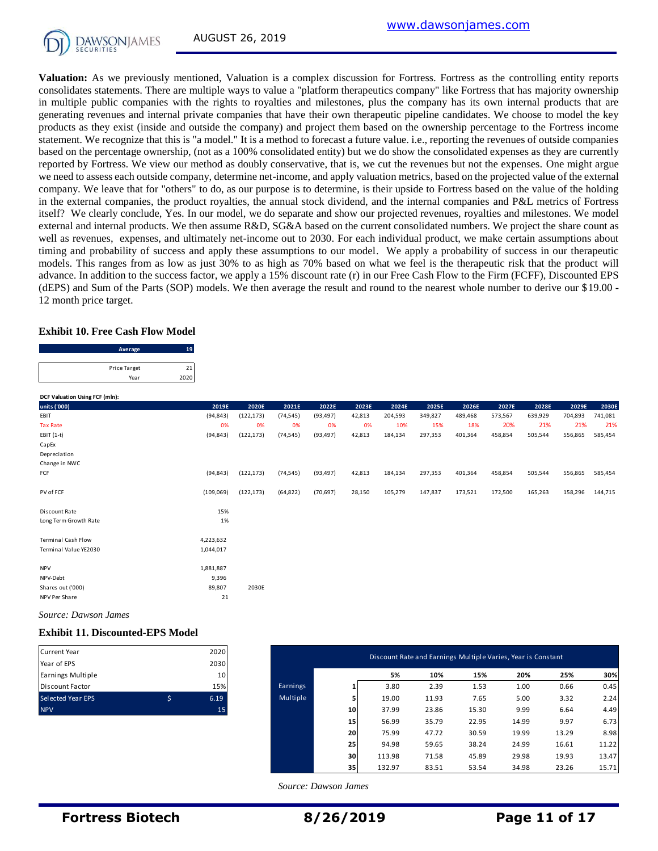**Valuation:** As we previously mentioned, Valuation is a complex discussion for Fortress. Fortress as the controlling entity reports consolidates statements. There are multiple ways to value a "platform therapeutics company" like Fortress that has majority ownership in multiple public companies with the rights to royalties and milestones, plus the company has its own internal products that are generating revenues and internal private companies that have their own therapeutic pipeline candidates. We choose to model the key products as they exist (inside and outside the company) and project them based on the ownership percentage to the Fortress income statement. We recognize that this is "a model." It is a method to forecast a future value. i.e., reporting the revenues of outside companies based on the percentage ownership, (not as a 100% consolidated entity) but we do show the consolidated expenses as they are currently reported by Fortress. We view our method as doubly conservative, that is, we cut the revenues but not the expenses. One might argue we need to assess each outside company, determine net-income, and apply valuation metrics, based on the projected value of the external company. We leave that for "others" to do, as our purpose is to determine, is their upside to Fortress based on the value of the holding in the external companies, the product royalties, the annual stock dividend, and the internal companies and P&L metrics of Fortress itself? We clearly conclude, Yes. In our model, we do separate and show our projected revenues, royalties and milestones. We model external and internal products. We then assume R&D, SG&A based on the current consolidated numbers. We project the share count as well as revenues, expenses, and ultimately net-income out to 2030. For each individual product, we make certain assumptions about timing and probability of success and apply these assumptions to our model. We apply a probability of success in our therapeutic models. This ranges from as low as just 30% to as high as 70% based on what we feel is the therapeutic risk that the product will advance. In addition to the success factor, we apply a 15% discount rate (r) in our Free Cash Flow to the Firm (FCFF), Discounted EPS (dEPS) and Sum of the Parts (SOP) models. We then average the result and round to the nearest whole number to derive our \$19.00 - 12 month price target.

#### **Exhibit 10. Free Cash Flow Model**

| 12 month price target.                  |      |
|-----------------------------------------|------|
| <b>Exhibit 10. Free Cash Flow Model</b> |      |
| Average                                 | 19   |
| <b>Price Target</b>                     | 21   |
| Year                                    | 2020 |
|                                         |      |

| 2019E<br>(94, 843)<br>0%<br>(94, 843)<br>(94, 843) | 2020E<br>(122, 173)<br>0%<br>(122, 173)<br>(122, 173) | 2021E<br>(74, 545)<br>0%<br>(74, 545)<br>(74, 545) | 2022E<br>(93, 497)<br>0%<br>(93, 497)<br>(93, 497) | 2023E<br>42,813<br>0%<br>42,813 | 2024E<br>204,593<br>10%<br>184,134 | 2025E<br>349,827<br>15%<br>297,353 | 2026E<br>489,468<br>18%<br>401,364 | 2027E<br>573,567<br>20%<br>458,854 | 2028E<br>639,929<br>21%<br>505,544 | 2029E<br>704,893<br>21%<br>556,865 | 2030E<br>741,081<br>585,454 |
|----------------------------------------------------|-------------------------------------------------------|----------------------------------------------------|----------------------------------------------------|---------------------------------|------------------------------------|------------------------------------|------------------------------------|------------------------------------|------------------------------------|------------------------------------|-----------------------------|
|                                                    |                                                       |                                                    |                                                    |                                 |                                    |                                    |                                    |                                    |                                    |                                    | 21%                         |
|                                                    |                                                       |                                                    |                                                    |                                 |                                    |                                    |                                    |                                    |                                    |                                    |                             |
|                                                    |                                                       |                                                    |                                                    |                                 |                                    |                                    |                                    |                                    |                                    |                                    |                             |
|                                                    |                                                       |                                                    |                                                    |                                 |                                    |                                    |                                    |                                    |                                    |                                    |                             |
|                                                    |                                                       |                                                    |                                                    |                                 |                                    |                                    |                                    |                                    |                                    |                                    |                             |
|                                                    |                                                       |                                                    |                                                    |                                 |                                    |                                    |                                    |                                    |                                    |                                    |                             |
|                                                    |                                                       |                                                    |                                                    |                                 |                                    |                                    |                                    |                                    |                                    |                                    |                             |
|                                                    |                                                       |                                                    |                                                    | 42,813                          | 184,134                            | 297,353                            | 401,364                            | 458,854                            | 505,544                            | 556,865                            | 585,454                     |
|                                                    |                                                       |                                                    |                                                    |                                 |                                    |                                    |                                    |                                    |                                    |                                    |                             |
| (109,069)                                          | (122, 173)                                            | (64, 822)                                          | (70, 697)                                          | 28,150                          | 105,279                            | 147,837                            | 173,521                            | 172,500                            | 165,263                            | 158,296                            | 144,715                     |
|                                                    |                                                       |                                                    |                                                    |                                 |                                    |                                    |                                    |                                    |                                    |                                    |                             |
| 15%                                                |                                                       |                                                    |                                                    |                                 |                                    |                                    |                                    |                                    |                                    |                                    |                             |
| 1%                                                 |                                                       |                                                    |                                                    |                                 |                                    |                                    |                                    |                                    |                                    |                                    |                             |
|                                                    |                                                       |                                                    |                                                    |                                 |                                    |                                    |                                    |                                    |                                    |                                    |                             |
|                                                    |                                                       |                                                    |                                                    |                                 |                                    |                                    |                                    |                                    |                                    |                                    |                             |
| 1,044,017                                          |                                                       |                                                    |                                                    |                                 |                                    |                                    |                                    |                                    |                                    |                                    |                             |
|                                                    |                                                       |                                                    |                                                    |                                 |                                    |                                    |                                    |                                    |                                    |                                    |                             |
|                                                    |                                                       |                                                    |                                                    |                                 |                                    |                                    |                                    |                                    |                                    |                                    |                             |
|                                                    |                                                       |                                                    |                                                    |                                 |                                    |                                    |                                    |                                    |                                    |                                    |                             |
|                                                    |                                                       |                                                    |                                                    |                                 |                                    |                                    |                                    |                                    |                                    |                                    |                             |
| 21                                                 |                                                       |                                                    |                                                    |                                 |                                    |                                    |                                    |                                    |                                    |                                    |                             |
|                                                    | 4,223,632<br>1,881,887<br>9,396<br>89,807             | 2030E                                              |                                                    |                                 |                                    |                                    |                                    |                                    |                                    |                                    |                             |

*Source: Dawson James*

#### **Exhibit 11. Discounted-EPS Model**

| <b>Current Year</b>      |   | 2020 |
|--------------------------|---|------|
| Year of EPS              |   | 2030 |
| Earnings Multiple        |   | 10   |
| <b>Discount Factor</b>   |   | 15%  |
| <b>Selected Year EPS</b> | ς | 6.19 |
| <b>NPV</b>               |   |      |

| Current Year                     | 2020                    |          |                 | Discount Rate and Earnings Multiple Varies, Year is Constant |       |       |       |       |       |
|----------------------------------|-------------------------|----------|-----------------|--------------------------------------------------------------|-------|-------|-------|-------|-------|
| Year of EPS<br>Earnings Multiple | 2030<br>10 <sup>1</sup> |          |                 | 5%                                                           | 10%   | 15%   | 20%   | 25%   | 30%   |
| Discount Factor                  | 15%                     | Earnings |                 | 3.80                                                         | 2.39  | 1.53  | 1.00  | 0.66  | 0.45  |
| Selected Year EPS                | \$<br>6.19              | Multiple | 5               | 19.00                                                        | 11.93 | 7.65  | 5.00  | 3.32  | 2.24  |
| <b>NPV</b>                       | 15                      |          | 10 <sub>1</sub> | 37.99                                                        | 23.86 | 15.30 | 9.99  | 6.64  | 4.49  |
|                                  |                         |          | 15              | 56.99                                                        | 35.79 | 22.95 | 14.99 | 9.97  | 6.73  |
|                                  |                         |          | 20              | 75.99                                                        | 47.72 | 30.59 | 19.99 | 13.29 | 8.98  |
|                                  |                         |          | 25              | 94.98                                                        | 59.65 | 38.24 | 24.99 | 16.61 | 11.22 |
|                                  |                         |          | 30              | 113.98                                                       | 71.58 | 45.89 | 29.98 | 19.93 | 13.47 |
|                                  |                         |          | 35              | 132.97                                                       | 83.51 | 53.54 | 34.98 | 23.26 | 15.71 |

 *Source: Dawson James*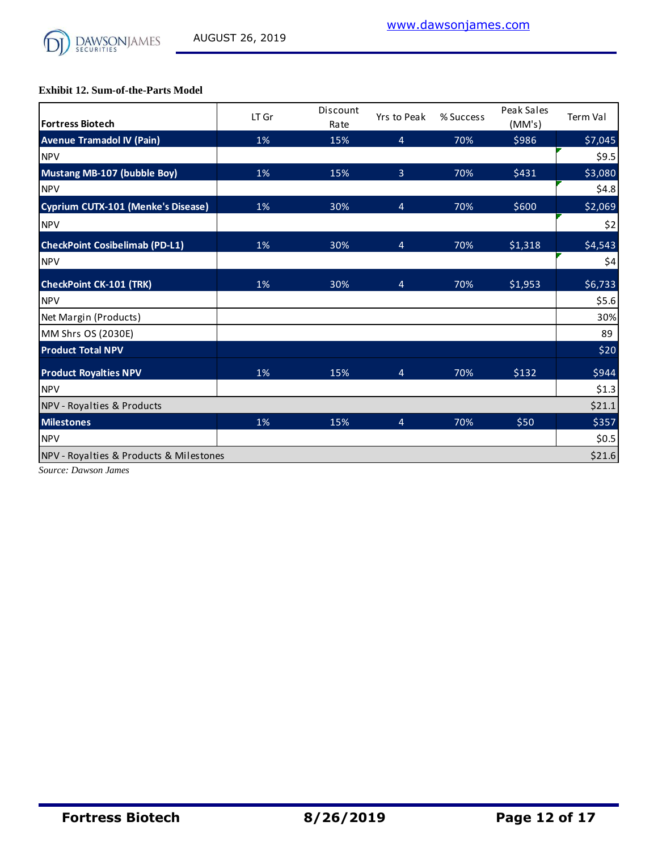

**Exhibit 12. Sum-of-the-Parts Model**

| <b>Fortress Biotech</b>                 | LT Gr | Discount<br>Rate | Yrs to Peak    | % Success | Peak Sales<br>(MM's) | Term Val |
|-----------------------------------------|-------|------------------|----------------|-----------|----------------------|----------|
| <b>Avenue Tramadol IV (Pain)</b>        | 1%    | 15%              | $\overline{4}$ | 70%       | \$986                | \$7,045  |
| <b>NPV</b>                              |       |                  |                |           |                      | \$9.5    |
| Mustang MB-107 (bubble Boy)             | 1%    | 15%              | 3              | 70%       | \$431                | \$3,080  |
| <b>NPV</b>                              |       |                  |                |           |                      | \$4.8    |
| Cyprium CUTX-101 (Menke's Disease)      | 1%    | 30%              | 4              | 70%       | \$600                | \$2,069  |
| <b>NPV</b>                              |       |                  |                |           |                      | \$2      |
| <b>CheckPoint Cosibelimab (PD-L1)</b>   | 1%    | 30%              | $\overline{4}$ | 70%       | \$1,318              | \$4,543  |
| <b>NPV</b>                              |       |                  |                |           |                      | \$4      |
| <b>CheckPoint CK-101 (TRK)</b>          | 1%    | 30%              | $\overline{4}$ | 70%       | \$1,953              | \$6,733  |
| <b>NPV</b>                              |       |                  |                |           |                      | \$5.6    |
| Net Margin (Products)                   |       |                  |                |           |                      | 30%      |
| MM Shrs OS (2030E)                      |       |                  |                |           |                      | 89       |
| <b>Product Total NPV</b>                |       |                  |                |           |                      | \$20     |
| <b>Product Royalties NPV</b>            | 1%    | 15%              | 4              | 70%       | \$132                | \$944    |
| <b>NPV</b>                              |       |                  |                |           |                      | \$1.3    |
| NPV - Royalties & Products              |       |                  |                |           |                      | \$21.1   |
| <b>Milestones</b>                       | 1%    | 15%              | $\overline{4}$ | 70%       | \$50                 | \$357    |
| <b>NPV</b>                              |       |                  |                |           |                      | \$0.5    |
| NPV - Royalties & Products & Milestones |       |                  |                |           |                      | \$21.6   |

*Source: Dawson James*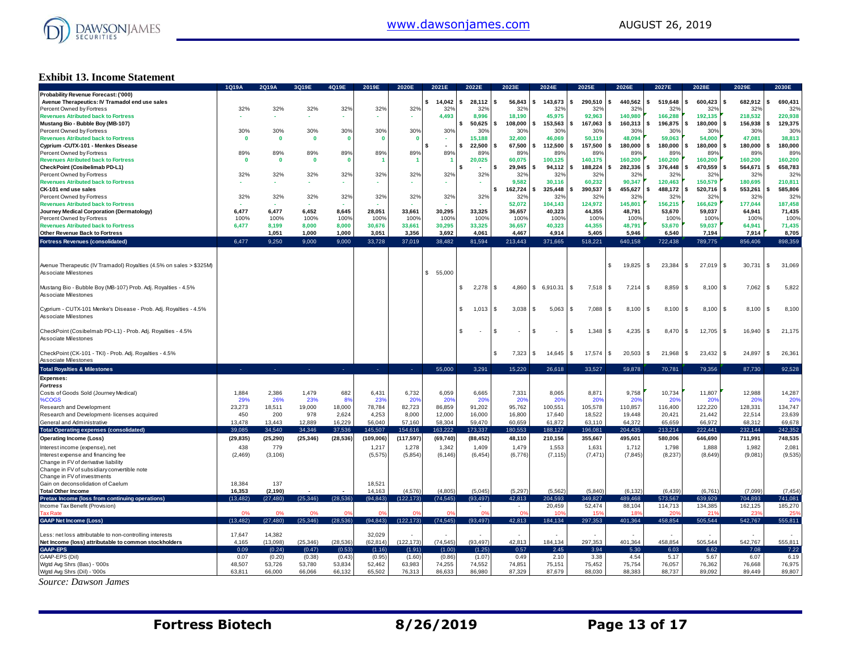

## **Exhibit 13. Income Statement**

|                                                                     | 1Q19A        | 2Q19A        | 3Q19E        | 4Q19E        | 2019E          | 2020E        | 2021E                    | 2022E            | 2023E                          | 2024E         | 2025E                | 2026E         | 2027E          | 2028E        | 2029E                  | 2030E          |
|---------------------------------------------------------------------|--------------|--------------|--------------|--------------|----------------|--------------|--------------------------|------------------|--------------------------------|---------------|----------------------|---------------|----------------|--------------|------------------------|----------------|
| Probability Revenue Forecast: ('000)                                |              |              |              |              |                |              |                          |                  |                                |               |                      |               |                |              |                        |                |
| Avenue Therapeutics: IV Tramadol end use sales                      |              |              |              |              |                |              | \$14,042                 | s.<br>28.112     | 56,843<br>$\mathbf{s}$         | s.<br>143,673 | s.<br>290,510        | s.<br>440.562 | \$<br>519,648  | 600,423      | 682,912<br>\$          | 690,431        |
| Percent Owned by Fortress                                           | 32%          | 32%          | 32%          | 32%          | 32%            | 32%          | 32%                      | 32%              | 32%                            | 32%           | 32%                  | 32%           | 32%            | 32%          | 32%                    | 32%            |
| <b>Revenues Atributed back to Fortress</b>                          |              |              |              |              |                |              | 4,493                    | 8,996            | 18,190                         | 45,975        | 92,963               | 140,980       | 166,288        | 192,135      | 218,532                | 220,938        |
| Mustang Bio - Bubble Boy (MB-107)                                   |              |              |              |              |                |              |                          | 50,625<br>\$     | 108.000<br>s.                  | 153,563       | 167.063<br>s.        | 160,313<br>s. | 196,875<br>\$  | 180.000      | 156,938<br>\$          | 129,375        |
| Percent Owned by Fortress                                           | 30%          | 30%          | 30%          | 30%          | 30%            | 30%          | 30%                      |                  |                                | 30%           | 30 <sup>o</sup>      | 30%           | 30%            | 30%          | 30%                    | 30%            |
|                                                                     |              |              |              |              |                |              |                          | 30%              | 30%                            |               |                      |               |                |              |                        |                |
| <b>Revenues Atributed back to Fortress</b>                          | $\mathbf{0}$ | $\mathbf{0}$ | $\bf{0}$     | $\mathbf{0}$ | - 0            | $\mathbf{0}$ |                          | 15,188           | 32,400                         | 46,069        | 50,119               | 48,094        | 59,063         | 54,000       | 47,081                 | 38,813         |
| Cyprium - CUTX-101 - Menkes Disease                                 |              |              |              |              |                |              | $\overline{\phantom{a}}$ | 22,500           | 67.500<br>- \$                 | 112.500<br>\$ | 157.500<br>s.        | s.<br>180.000 | \$<br>180.000  | 180.000      | 180.000<br>\$          | 180,000        |
| Percent Owned by Fortress                                           | 89%          | 89%          | 89%          | 89%          | 89%            | 89%          | 89%                      | 89%              | 89%                            | 89%           | 89%                  | 89%           | 89%            | 89%          | 89%                    | 89%            |
| <b>Revenues Atributed back to Fortress</b>                          | $\mathbf{0}$ | $\mathbf{0}$ | $\mathbf{0}$ | $\mathbf{0}$ |                |              |                          | 20,025           | 60.075                         | 100,125       | 140.175              | 160.200       | 160.200        | 160.200      | 160,200                | 160,200        |
| CheckPoint (Cosibelimab PD-L1)                                      |              |              |              |              |                |              |                          | $\sim$           | 29,945<br>\$.                  | 94,112        | 188,224<br>\$        | 282,336<br>s. | 376,448<br>\$  | 470,559      | 564,671<br>\$          | 658,783<br>ικ  |
| Percent Owned by Fortress                                           | 32%          | 32%          | 32%          | 32%          | 32%            | 32%          | 32%                      | 32%              | 32%                            | 32%           | 329                  | 32%           | 32%            | 32%          | 32%                    | 32%            |
| <b>Revenues Atributed back to Fortress</b>                          |              |              |              |              |                |              |                          |                  | 9.582                          | 30.116        | 60.232               | 90.347        | 120.463        | 150.579      | 180.695                | 210,811        |
|                                                                     |              |              | $\sim$       | ٠            |                | <b>A</b>     |                          | ٠                |                                |               |                      |               |                |              |                        |                |
| CK-101 end use sales                                                |              |              |              |              |                |              |                          |                  | 162,724<br>Ŝ                   | 325,448       | 390,537<br>¢         | 455,627<br>s. | 488,172<br>\$. | 520,716      | 553,261                | 585,806        |
| Percent Owned by Fortress                                           | 32%          | 32%          | 32%          | 32%          | 32%            | 32%          | 32%                      | 32%              | 32%                            | 32%           | 32%                  | 32%           | 32%            | 32%          | 32%                    | 32%            |
| <b>Revenues Atributed back to Fortress</b>                          |              |              |              |              |                |              |                          |                  | 52.072                         | 104.143       | 124.972              | 145,801       | 156.215        | 166.629      | 177.044                | 187,458        |
| Journey Medical Corporation (Dermatology)                           | 6,477        | 6,477        | 6,452        | 8,645        | 28,051         | 33,661       | 30,295                   | 33,325           | 36,657                         | 40,323        | 44,355               | 48,791        | 53,670         | 59,037       | 64,941                 | 71,435         |
| Percent Owned by Fortress                                           | 100%         | 100%         | 100%         | 100%         | 100%           | 100%         | 100%                     | 100%             | 100%                           | 100%          | 100%                 | 100%          | 100%           | 100%         | 100%                   | 100%           |
| <b>Revenues Atributed back to Fortress</b>                          | 6,477        | 8,199        | 8,000        | 8,000        | 30,676         | 33,661       | 30,295                   | 33,325           | 36,657                         | 40,323        | 44,355               | 48,791        | 53,670         | 59,037       | 64,941                 | 71,435         |
|                                                                     |              |              |              |              |                |              |                          |                  |                                |               |                      |               |                |              |                        |                |
| Other Revenue Back to Fortress                                      |              | 1,051        | 1,000        | 1,000        | 3,051          | 3,356        | 3,692                    | 4,061            | 4,467                          | 4,914         | 5,405                | 5,946         | 6,540          | 7,194        | 7,914                  | 8,705          |
| <b>Fortress Revenues (consolidated)</b>                             | 6.477        | 9.250        | 9.000        | 9.000        | 33.728         | 37.019       | 38.482                   | 81.594           | 213.443                        | 371.665       | 518.221              | 640,158       | 722,438        | 789,775      | 856,406                | 898.359        |
|                                                                     |              |              |              |              |                |              |                          |                  |                                |               |                      |               |                |              |                        |                |
|                                                                     |              |              |              |              |                |              |                          |                  |                                |               |                      |               |                |              |                        |                |
| Avenue Therapeutic (IV Tramadol) Royalties (4.5% on sales > \$325M) |              |              |              |              |                |              |                          |                  |                                |               |                      | 19,825        | \$<br>23,384   | 27,019       | 30,731<br>£.           | 31,069<br>l \$ |
| Associate Milestones                                                |              |              |              |              |                |              | \$55,000                 |                  |                                |               |                      |               |                |              |                        |                |
|                                                                     |              |              |              |              |                |              |                          |                  |                                |               |                      |               |                |              |                        |                |
|                                                                     |              |              |              |              |                |              |                          |                  |                                |               |                      |               |                |              |                        |                |
| Mustang Bio - Bubble Boy (MB-107) Prob. Adj. Royalties - 4.5%       |              |              |              |              |                |              |                          | \$<br>$2,278$ \$ | 4,860                          | \$6,910.31    | 7,518<br>$\mathbf s$ | 7,214<br>S.   | 8,859<br>\$    | 8,100        | 7,062<br>$\mathbf{s}$  | 5,822<br>l \$  |
| <b>Associate Milestones</b>                                         |              |              |              |              |                |              |                          |                  |                                |               |                      |               |                |              |                        |                |
|                                                                     |              |              |              |              |                |              |                          |                  |                                |               |                      |               |                |              |                        |                |
| Cyprium - CUTX-101 Menke's Disease - Prob. Adj. Royalties - 4.5%    |              |              |              |              |                |              |                          | 1,013<br>S.      | 3,038<br>l S                   | \$<br>5,063   | 7,088<br>\$          | 8,100<br>£.   | \$<br>8,100    | 8,100        | 8,100<br>£.            | 8,100<br>l SS  |
| Associate Milestones                                                |              |              |              |              |                |              |                          |                  |                                |               |                      |               |                |              |                        |                |
|                                                                     |              |              |              |              |                |              |                          |                  |                                |               |                      |               |                |              |                        |                |
|                                                                     |              |              |              |              |                |              |                          |                  |                                |               |                      |               |                |              |                        |                |
| CheckPoint (Cosibelmab PD-L1) - Prob. Adj. Royalties - 4.5%         |              |              |              |              |                |              |                          | £.               | \$<br>$\overline{\phantom{a}}$ | -S            | 1,348<br>\$          | 4,235<br>£.   | 8,470<br>\$    | 12,705<br>S. | 16,940<br>$\mathbf{s}$ | 21,175<br>l \$ |
| Associate Milestones                                                |              |              |              |              |                |              |                          |                  |                                |               |                      |               |                |              |                        |                |
|                                                                     |              |              |              |              |                |              |                          |                  |                                |               |                      |               |                |              |                        |                |
| CheckPoint (CK-101 - TKI) - Prob. Adj. Royalties - 4.5%             |              |              |              |              |                |              |                          |                  | S<br>7,323                     | S<br>14,645   | 17,574<br>\$         | 20,503<br>S   | 21,968<br>\$   | 23,432       | 24,897<br>\$.          | 26,361<br>- \$ |
| <b>Associate Milestones</b>                                         |              |              |              |              |                |              |                          |                  |                                |               |                      |               |                |              |                        |                |
|                                                                     |              |              |              |              |                |              | 55,000                   | 3.291            | 15.220                         |               | 33.527               | 59.878        |                | 79.356       |                        | 92.528         |
| <b>Total Royalties &amp; Milestones</b>                             |              |              | n.           | 14           | $\sim$         | ×.           |                          |                  |                                | 26,618        |                      |               | 70,781         |              | 87,730                 |                |
| <b>Expenses:</b>                                                    |              |              |              |              |                |              |                          |                  |                                |               |                      |               |                |              |                        |                |
| <b>Fortress</b>                                                     |              |              |              |              |                |              |                          |                  |                                |               |                      |               |                |              |                        |                |
| Costs of Goods Sold (Journey Medical)                               | 1,884        | 2,386        | 1,479        | 682          | 6,431          | 6,732        | 6,059                    | 6,665            | 7,331                          | 8,065         | 8,871                | 9,758         | 10,734         | 11,807       | 12,988                 | 14,287         |
| %COGS                                                               | 29%          | 26%          | 23%          | 8%           | 23%            | 20%          | 20%                      | 20%              | 20%                            | 20%           | 20 <sup>o</sup>      | 20%           | 20%            | 20%          | 20%                    | 20%            |
| Research and Development                                            | 23,273       | 18,511       | 19,000       | 18,000       | 78,784         | 82,723       | 86,859                   | 91,202           | 95,762                         | 100,551       | 105,578              | 110,857       | 116,400        | 122,220      | 128,331                | 134,747        |
|                                                                     |              |              |              | 2,624        | 4,253          | 8,000        | 12,000                   | 16,000           | 16,800                         | 17,640        | 18,522               | 19,448        | 20,421         | 21,442       | 22,514                 |                |
| Research and Development- licenses acquired                         | 450          | 200          | 978          |              |                |              |                          |                  |                                |               |                      |               |                |              |                        | 23,639         |
| General and Administrative                                          | 13,478       | 13,443       | 12,889       | 16,229       | 56.040         | 57,160       | 58.304                   | 59,470           | 60.659                         | 61,872        | 63,110               | 64.372        | 65.659         | 66,972       | 68.312                 | 69,678         |
| <b>Total Operating expenses (consolidated)</b>                      | 39.085       | 34.540       | 34.346       | 37.536       | 145,507        | 154,616      | 163.222                  | 173.337          | 180.553                        | 188,127       | 196.081              | 204,435       | 213.214        | 222.441      | 232.144                | 242,352        |
| <b>Operating Income (Loss)</b>                                      | (29, 835)    | (25, 290)    | (25, 346)    | (28, 536)    | (109, 006)     | (117, 597)   | (69, 740)                | (88, 452)        | 48,110                         | 210,156       | 355,667              | 495,601       | 580,006        | 646,690      | 711,991                | 748,535        |
|                                                                     |              |              |              |              |                |              |                          |                  |                                |               |                      |               |                |              |                        |                |
| Interest income (expense), net                                      | 438          | 779          |              |              | 1,217          | 1,278        | 1,342                    | 1,409            | 1,479                          | 1,553         | 1,631                | 1,712         | 1,798          | 1,888        | 1,982                  | 2,081          |
| Interest expense and financing fee                                  | (2,469)      | (3, 106)     |              |              | (5, 575)       | (5,854)      | (6, 146)                 | (6, 454)         | (6.776)                        | (7, 115)      | (7, 471)             | (7, 845)      | (8,237)        | (8,649)      | (9,081)                | (9,535)        |
| Change in FV of derivative liability                                |              |              |              |              |                |              |                          |                  |                                |               |                      |               |                |              |                        |                |
| Change in FV of subsidiary convertible note                         |              |              |              |              |                |              |                          |                  |                                |               |                      |               |                |              |                        |                |
| Change in FV of investments                                         |              |              |              |              |                |              |                          |                  |                                |               |                      |               |                |              |                        |                |
| Gain on deconsolidation of Caelum                                   | 18,384       | 137          |              |              | 18,521         |              |                          |                  |                                |               |                      |               |                |              |                        |                |
| <b>Total Other Income</b>                                           | 16,353       | (2, 190)     |              |              | 14,163         | (4,576)      | (4, 805)                 | (5,045)          | (5,297)                        | (5, 562)      | (5,840)              | (6, 132)      | (6, 439)       | (6, 761)     | (7,099)                | (7, 454)       |
|                                                                     | (13.482)     | (27, 480)    | (25, 346)    | (28.536)     | (94, 843)      | (122, 173)   | (74.545)                 | (93.497)         | 42.813                         | 204.593       | 349.827              | 489.468       | 573.567        | 639.929      | 704.893                | 741.081        |
| Pretax Income (loss from continuing operations)                     |              |              |              |              |                |              |                          |                  |                                |               |                      |               |                |              |                        |                |
| Income Tax Benefit (Provision)                                      |              |              |              |              |                |              |                          |                  |                                | 20,459        | 52,474               | 88,104        | 114,713        | 134,385      | 162,125                | 185,270        |
| <b>Tax Rate</b>                                                     |              | 0%           |              |              | O <sup>s</sup> |              |                          | $\alpha$         |                                |               | 15                   |               |                | 21           | 23                     |                |
| <b>GAAP Net Income (Loss)</b>                                       | (13, 482)    | (27, 480)    | (25, 346)    | (28, 536)    | (94, 843)      | (122, 173)   | (74, 545)                | (93, 497)        | 42,813                         | 184,134       | 297,353              | 401,364       | 458,854        | 505,544      | 542,767                | 555,811        |
|                                                                     |              |              |              |              |                |              |                          |                  |                                |               |                      |               |                |              |                        |                |
| Less: net loss attributable to non-controlling interests            | 17,647       | 14,382       |              |              | 32,029         |              |                          |                  |                                |               |                      |               |                |              |                        |                |
| Net Income (loss) attributable to common stockholders               | 4,165        | (13,098)     | (25, 346)    | (28, 536)    | (62.814)       | (122, 173)   | (74, 545)                | (93.497          | 42.813                         | 184,134       | 297,353              | 401,364       | 458,854        | 505.544      | 542,767                | 555,811        |
| <b>GAAP-EPS</b>                                                     | 0.09         | (0.24)       | (0.47)       | (0.53)       | (1.16)         | (1.91)       | (1.00)                   | (1.25)           | 0.57                           | 2.45          | 3.94                 | 5.30          | 6.03           | 6.62         | 7.08                   | 7.22           |
|                                                                     |              |              |              |              |                |              |                          |                  |                                |               |                      |               |                |              |                        |                |
| GAAP-EPS (Dil)                                                      | 0.07         | (0.20)       | (0.38)       | (0.43)       | (0.95)         | (1.60)       | (0.86)                   | (1.07)           | 0.49                           | 2.10          | 3.38                 | 4.54          | 5.17           | 5.67         | 6.07                   | 6.19           |
| Wgtd Avg Shrs (Bas) - '000s                                         | 48,507       | 53,726       | 53,780       | 53,834       | 52,462         | 63,983       | 74,255                   | 74,552           | 74,851                         | 75,151        | 75,452               | 75,754        | 76,057         | 76,362       | 76,668                 | 76,975         |
| Wgtd Avg Shrs (Dil) - '000s                                         | 63.811       | 66,000       | 66.066       | 66.132       | 65.502         | 76.313       | 86.633                   | 86.980           | 87.329                         | 87.679        | 88,030               | 88,383        | 88.737         | 89.092       | 89.449                 | 89.807         |
| Source: Dawson James                                                |              |              |              |              |                |              |                          |                  |                                |               |                      |               |                |              |                        |                |
|                                                                     |              |              |              |              |                |              |                          |                  |                                |               |                      |               |                |              |                        |                |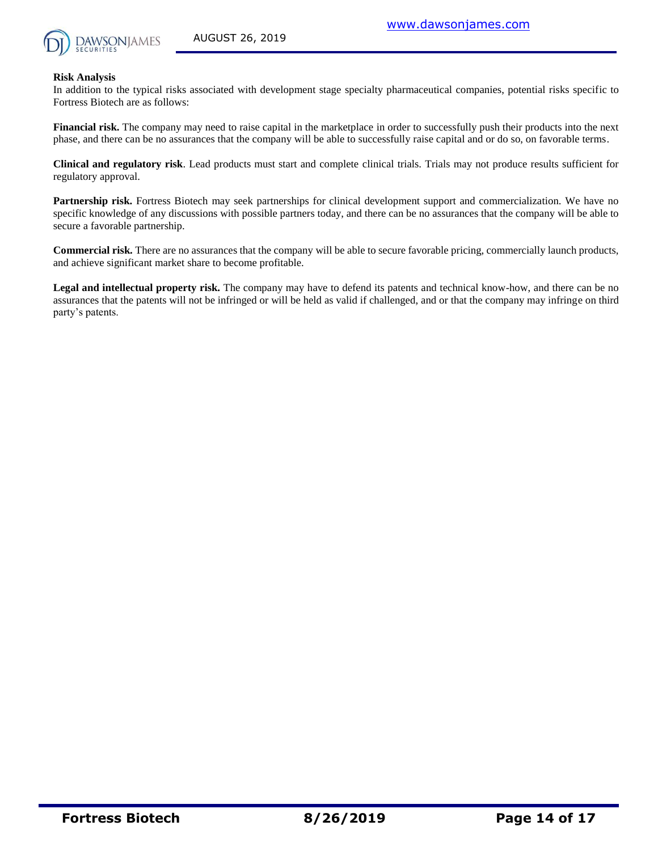

#### **Risk Analysis**

In addition to the typical risks associated with development stage specialty pharmaceutical companies, potential risks specific to Fortress Biotech are as follows:

**Financial risk.** The company may need to raise capital in the marketplace in order to successfully push their products into the next phase, and there can be no assurances that the company will be able to successfully raise capital and or do so, on favorable terms.

**Clinical and regulatory risk**. Lead products must start and complete clinical trials. Trials may not produce results sufficient for regulatory approval.

**Partnership risk.** Fortress Biotech may seek partnerships for clinical development support and commercialization. We have no specific knowledge of any discussions with possible partners today, and there can be no assurances that the company will be able to secure a favorable partnership.

**Commercial risk.** There are no assurances that the company will be able to secure favorable pricing, commercially launch products, and achieve significant market share to become profitable.

**Legal and intellectual property risk.** The company may have to defend its patents and technical know-how, and there can be no assurances that the patents will not be infringed or will be held as valid if challenged, and or that the company may infringe on third party's patents.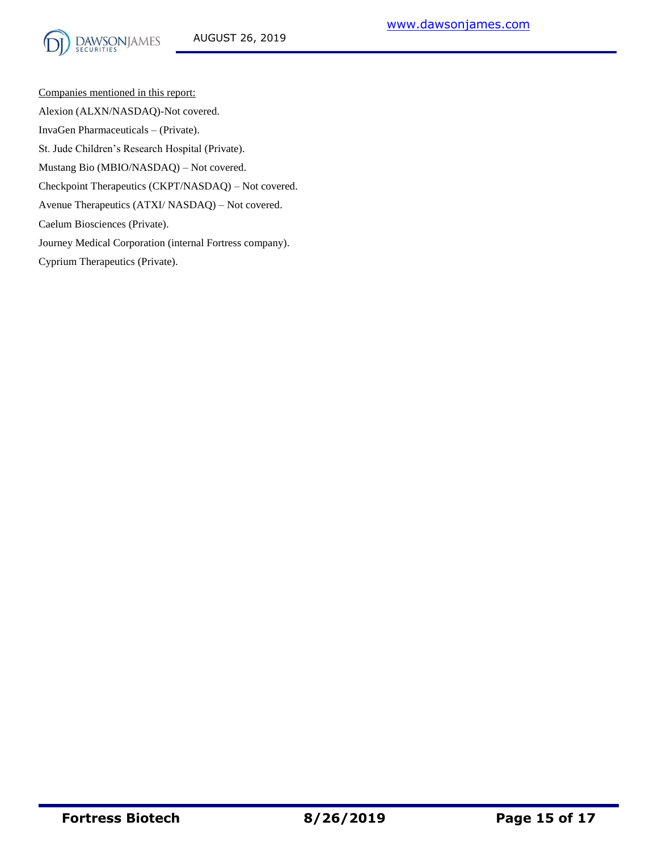

Companies mentioned in this report: Alexion (ALXN/NASDAQ)-Not covered. InvaGen Pharmaceuticals – (Private). St. Jude Children's Research Hospital (Private). Mustang Bio (MBIO/NASDAQ) – Not covered. Checkpoint Therapeutics (CKPT/NASDAQ) – Not covered. Avenue Therapeutics (ATXI/ NASDAQ) – Not covered. Caelum Biosciences (Private). Journey Medical Corporation (internal Fortress company). Cyprium Therapeutics (Private).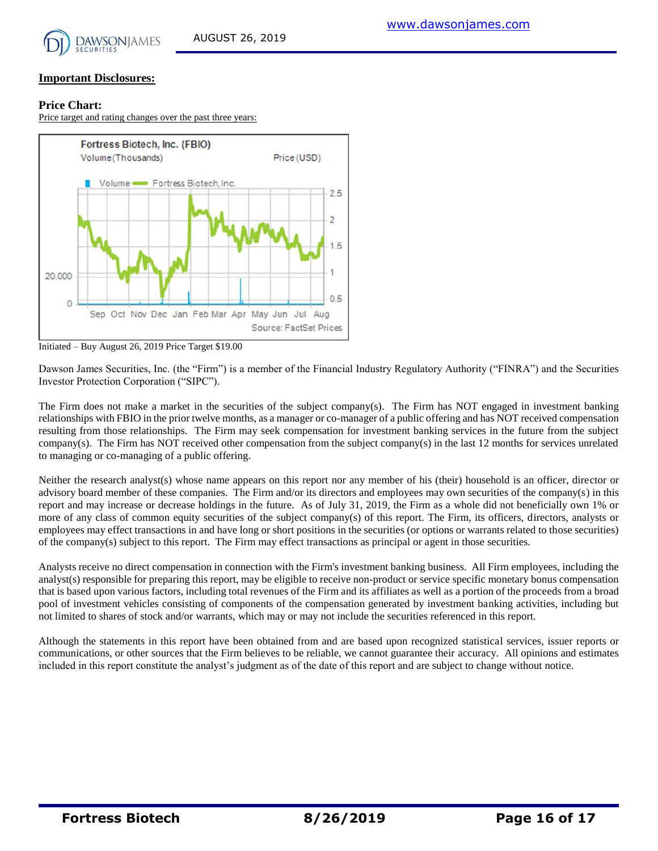

#### **Price Chart:**

Price target and rating changes over the past three years:



Initiated – Buy August 26, 2019 Price Target \$19.00

Dawson James Securities, Inc. (the "Firm") is a member of the Financial Industry Regulatory Authority ("FINRA") and the Securities Investor Protection Corporation ("SIPC").

The Firm does not make a market in the securities of the subject company(s). The Firm has NOT engaged in investment banking relationships with FBIO in the prior twelve months, as a manager or co-manager of a public offering and has NOT received compensation resulting from those relationships. The Firm may seek compensation for investment banking services in the future from the subject company(s). The Firm has NOT received other compensation from the subject company(s) in the last 12 months for services unrelated to managing or co-managing of a public offering.

Neither the research analyst(s) whose name appears on this report nor any member of his (their) household is an officer, director or advisory board member of these companies. The Firm and/or its directors and employees may own securities of the company(s) in this report and may increase or decrease holdings in the future. As of July 31, 2019, the Firm as a whole did not beneficially own 1% or more of any class of common equity securities of the subject company(s) of this report. The Firm, its officers, directors, analysts or employees may effect transactions in and have long or short positions in the securities (or options or warrants related to those securities) of the company(s) subject to this report. The Firm may effect transactions as principal or agent in those securities.

Analysts receive no direct compensation in connection with the Firm's investment banking business. All Firm employees, including the analyst(s) responsible for preparing this report, may be eligible to receive non-product or service specific monetary bonus compensation that is based upon various factors, including total revenues of the Firm and its affiliates as well as a portion of the proceeds from a broad pool of investment vehicles consisting of components of the compensation generated by investment banking activities, including but not limited to shares of stock and/or warrants, which may or may not include the securities referenced in this report.

Although the statements in this report have been obtained from and are based upon recognized statistical services, issuer reports or communications, or other sources that the Firm believes to be reliable, we cannot guarantee their accuracy. All opinions and estimates included in this report constitute the analyst's judgment as of the date of this report and are subject to change without notice.